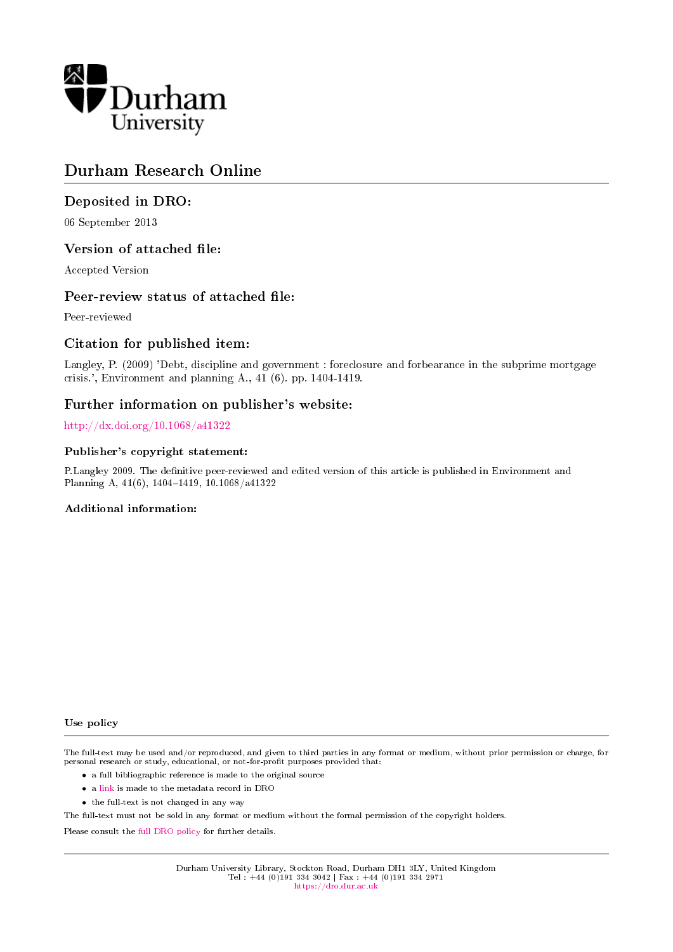

# Durham Research Online

# Deposited in DRO:

06 September 2013

## Version of attached file:

Accepted Version

## Peer-review status of attached file:

Peer-reviewed

# Citation for published item:

Langley, P. (2009) 'Debt, discipline and government : foreclosure and forbearance in the subprime mortgage crisis.', Environment and planning A., 41 (6). pp. 1404-1419.

## Further information on publisher's website:

<http://dx.doi.org/10.1068/a41322>

#### Publisher's copyright statement:

P.Langley 2009. The definitive peer-reviewed and edited version of this article is published in Environment and Planning A, 41(6), 1404-1419, 10.1068/a41322

#### Additional information:

Use policy

The full-text may be used and/or reproduced, and given to third parties in any format or medium, without prior permission or charge, for personal research or study, educational, or not-for-profit purposes provided that:

- a full bibliographic reference is made to the original source
- a [link](http://dro.dur.ac.uk/11326/) is made to the metadata record in DRO
- the full-text is not changed in any way

The full-text must not be sold in any format or medium without the formal permission of the copyright holders.

Please consult the [full DRO policy](https://dro.dur.ac.uk/policies/usepolicy.pdf) for further details.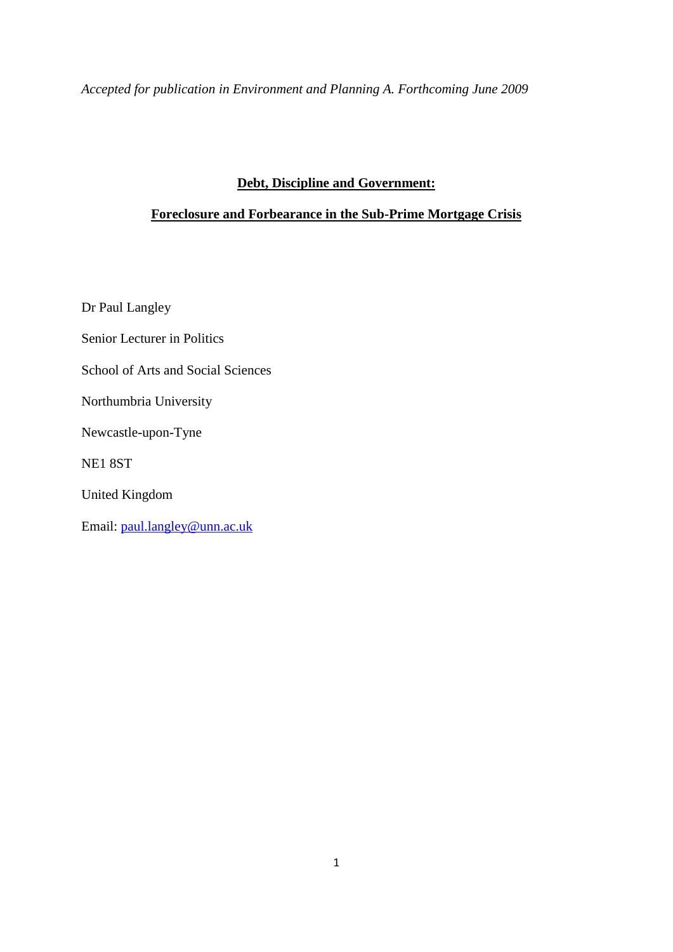*Accepted for publication in Environment and Planning A. Forthcoming June 2009*

# **Debt, Discipline and Government:**

# **Foreclosure and Forbearance in the Sub-Prime Mortgage Crisis**

Dr Paul Langley

Senior Lecturer in Politics

School of Arts and Social Sciences

Northumbria University

Newcastle-upon-Tyne

NE1 8ST

United Kingdom

Email: [paul.langley@unn.ac.uk](mailto:paul.langley@unn.ac.uk)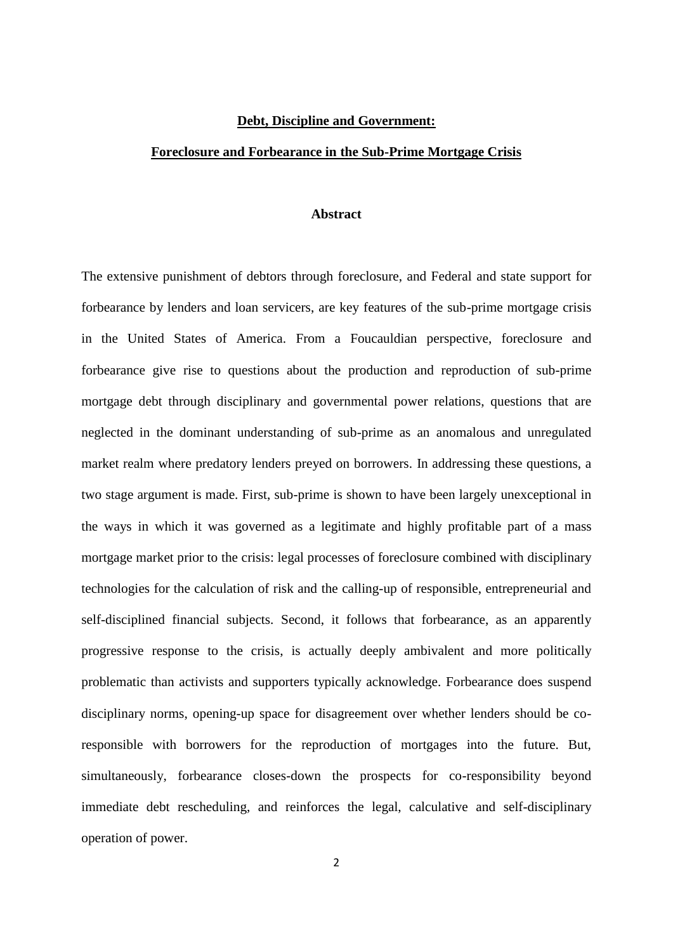#### **Debt, Discipline and Government:**

#### **Foreclosure and Forbearance in the Sub-Prime Mortgage Crisis**

#### **Abstract**

The extensive punishment of debtors through foreclosure, and Federal and state support for forbearance by lenders and loan servicers, are key features of the sub-prime mortgage crisis in the United States of America. From a Foucauldian perspective, foreclosure and forbearance give rise to questions about the production and reproduction of sub-prime mortgage debt through disciplinary and governmental power relations, questions that are neglected in the dominant understanding of sub-prime as an anomalous and unregulated market realm where predatory lenders preyed on borrowers. In addressing these questions, a two stage argument is made. First, sub-prime is shown to have been largely unexceptional in the ways in which it was governed as a legitimate and highly profitable part of a mass mortgage market prior to the crisis: legal processes of foreclosure combined with disciplinary technologies for the calculation of risk and the calling-up of responsible, entrepreneurial and self-disciplined financial subjects. Second, it follows that forbearance, as an apparently progressive response to the crisis, is actually deeply ambivalent and more politically problematic than activists and supporters typically acknowledge. Forbearance does suspend disciplinary norms, opening-up space for disagreement over whether lenders should be coresponsible with borrowers for the reproduction of mortgages into the future. But, simultaneously, forbearance closes-down the prospects for co-responsibility beyond immediate debt rescheduling, and reinforces the legal, calculative and self-disciplinary operation of power.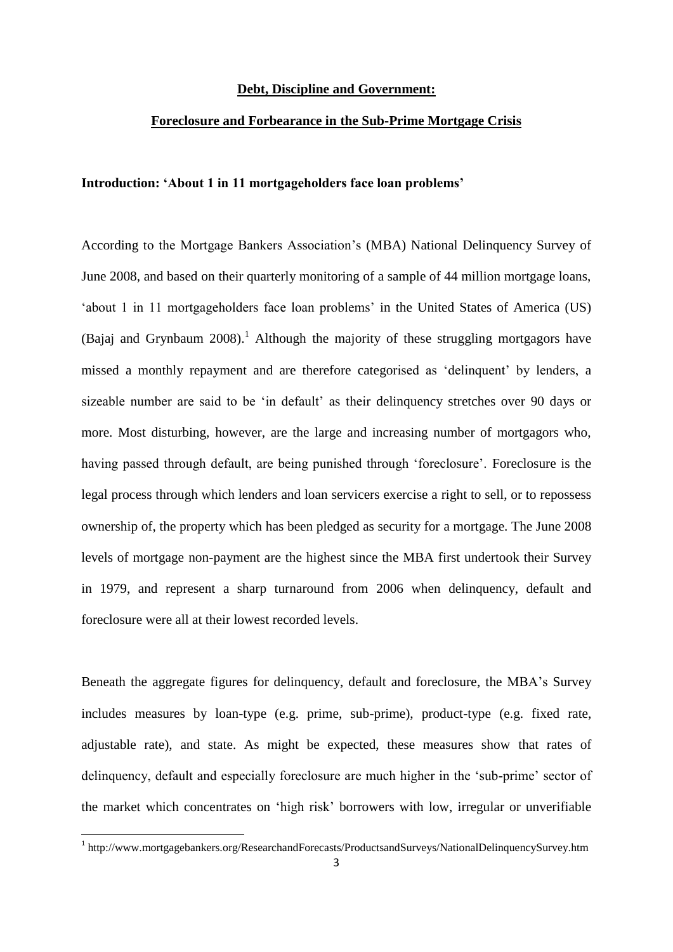### **Debt, Discipline and Government:**

## **Foreclosure and Forbearance in the Sub-Prime Mortgage Crisis**

## **Introduction: 'About 1 in 11 mortgageholders face loan problems'**

According to the Mortgage Bankers Association's (MBA) National Delinquency Survey of June 2008, and based on their quarterly monitoring of a sample of 44 million mortgage loans, 'about 1 in 11 mortgageholders face loan problems' in the United States of America (US) (Bajaj and Grynbaum 2008).<sup>1</sup> Although the majority of these struggling mortgagors have missed a monthly repayment and are therefore categorised as 'delinquent' by lenders, a sizeable number are said to be 'in default' as their delinquency stretches over 90 days or more. Most disturbing, however, are the large and increasing number of mortgagors who, having passed through default, are being punished through 'foreclosure'. Foreclosure is the legal process through which lenders and loan servicers exercise a right to sell, or to repossess ownership of, the property which has been pledged as security for a mortgage. The June 2008 levels of mortgage non-payment are the highest since the MBA first undertook their Survey in 1979, and represent a sharp turnaround from 2006 when delinquency, default and foreclosure were all at their lowest recorded levels.

Beneath the aggregate figures for delinquency, default and foreclosure, the MBA's Survey includes measures by loan-type (e.g. prime, sub-prime), product-type (e.g. fixed rate, adjustable rate), and state. As might be expected, these measures show that rates of delinquency, default and especially foreclosure are much higher in the 'sub-prime' sector of the market which concentrates on 'high risk' borrowers with low, irregular or unverifiable

**.** 

<sup>&</sup>lt;sup>1</sup> http://www.mortgagebankers.org/ResearchandForecasts/ProductsandSurveys/NationalDelinquencySurvey.htm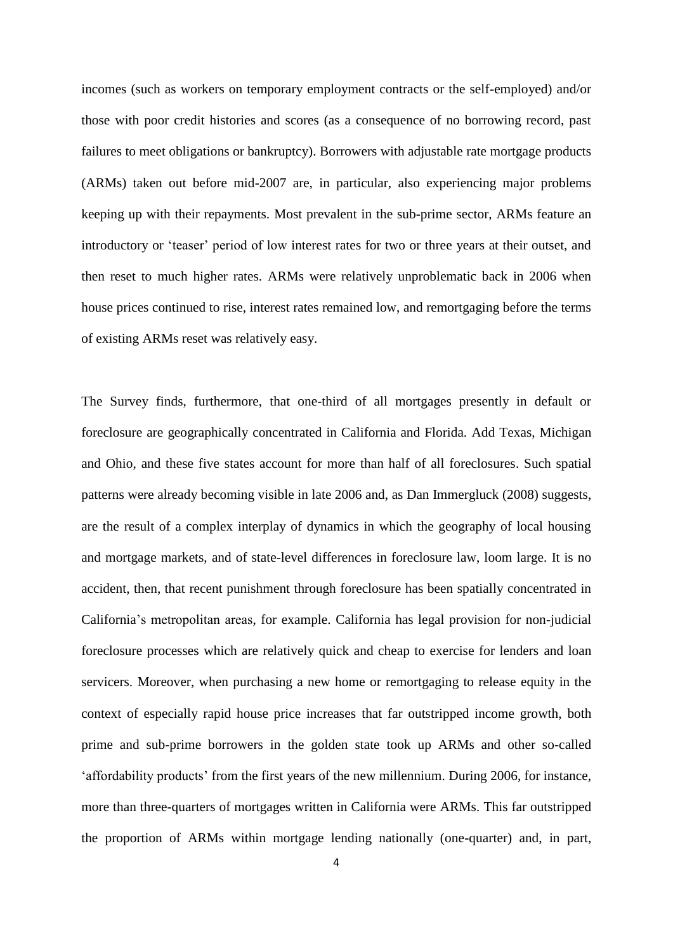incomes (such as workers on temporary employment contracts or the self-employed) and/or those with poor credit histories and scores (as a consequence of no borrowing record, past failures to meet obligations or bankruptcy). Borrowers with adjustable rate mortgage products (ARMs) taken out before mid-2007 are, in particular, also experiencing major problems keeping up with their repayments. Most prevalent in the sub-prime sector, ARMs feature an introductory or 'teaser' period of low interest rates for two or three years at their outset, and then reset to much higher rates. ARMs were relatively unproblematic back in 2006 when house prices continued to rise, interest rates remained low, and remortgaging before the terms of existing ARMs reset was relatively easy.

The Survey finds, furthermore, that one-third of all mortgages presently in default or foreclosure are geographically concentrated in California and Florida. Add Texas, Michigan and Ohio, and these five states account for more than half of all foreclosures. Such spatial patterns were already becoming visible in late 2006 and, as Dan Immergluck (2008) suggests, are the result of a complex interplay of dynamics in which the geography of local housing and mortgage markets, and of state-level differences in foreclosure law, loom large. It is no accident, then, that recent punishment through foreclosure has been spatially concentrated in California's metropolitan areas, for example. California has legal provision for non-judicial foreclosure processes which are relatively quick and cheap to exercise for lenders and loan servicers. Moreover, when purchasing a new home or remortgaging to release equity in the context of especially rapid house price increases that far outstripped income growth, both prime and sub-prime borrowers in the golden state took up ARMs and other so-called 'affordability products' from the first years of the new millennium. During 2006, for instance, more than three-quarters of mortgages written in California were ARMs. This far outstripped the proportion of ARMs within mortgage lending nationally (one-quarter) and, in part,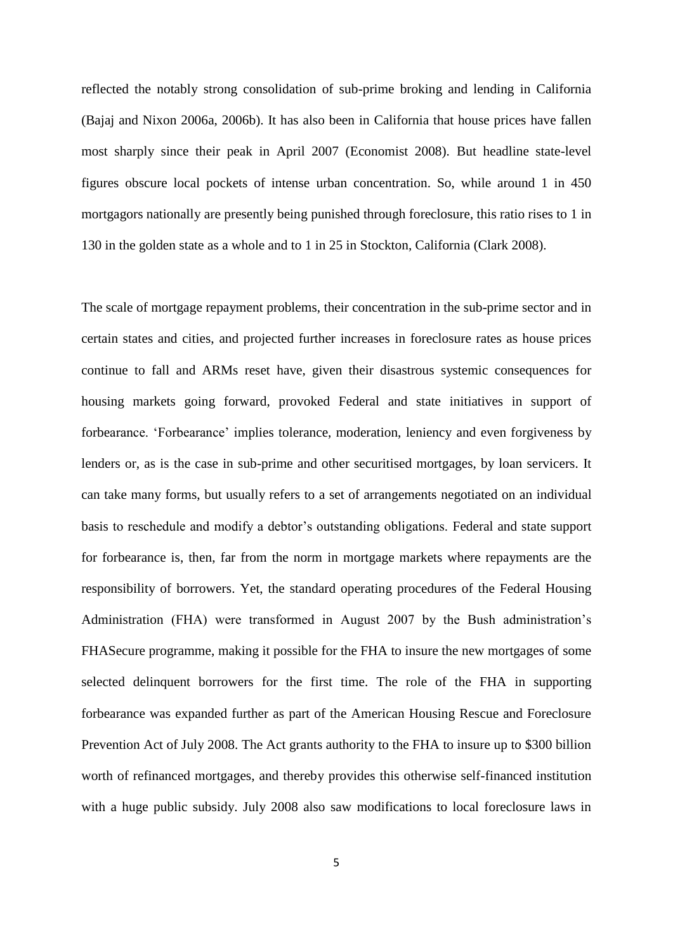reflected the notably strong consolidation of sub-prime broking and lending in California (Bajaj and Nixon 2006a, 2006b). It has also been in California that house prices have fallen most sharply since their peak in April 2007 (Economist 2008). But headline state-level figures obscure local pockets of intense urban concentration. So, while around 1 in 450 mortgagors nationally are presently being punished through foreclosure, this ratio rises to 1 in 130 in the golden state as a whole and to 1 in 25 in Stockton, California (Clark 2008).

The scale of mortgage repayment problems, their concentration in the sub-prime sector and in certain states and cities, and projected further increases in foreclosure rates as house prices continue to fall and ARMs reset have, given their disastrous systemic consequences for housing markets going forward, provoked Federal and state initiatives in support of forbearance. 'Forbearance' implies tolerance, moderation, leniency and even forgiveness by lenders or, as is the case in sub-prime and other securitised mortgages, by loan servicers. It can take many forms, but usually refers to a set of arrangements negotiated on an individual basis to reschedule and modify a debtor's outstanding obligations. Federal and state support for forbearance is, then, far from the norm in mortgage markets where repayments are the responsibility of borrowers. Yet, the standard operating procedures of the Federal Housing Administration (FHA) were transformed in August 2007 by the Bush administration's FHASecure programme, making it possible for the FHA to insure the new mortgages of some selected delinquent borrowers for the first time. The role of the FHA in supporting forbearance was expanded further as part of the American Housing Rescue and Foreclosure Prevention Act of July 2008. The Act grants authority to the FHA to insure up to \$300 billion worth of refinanced mortgages, and thereby provides this otherwise self-financed institution with a huge public subsidy. July 2008 also saw modifications to local foreclosure laws in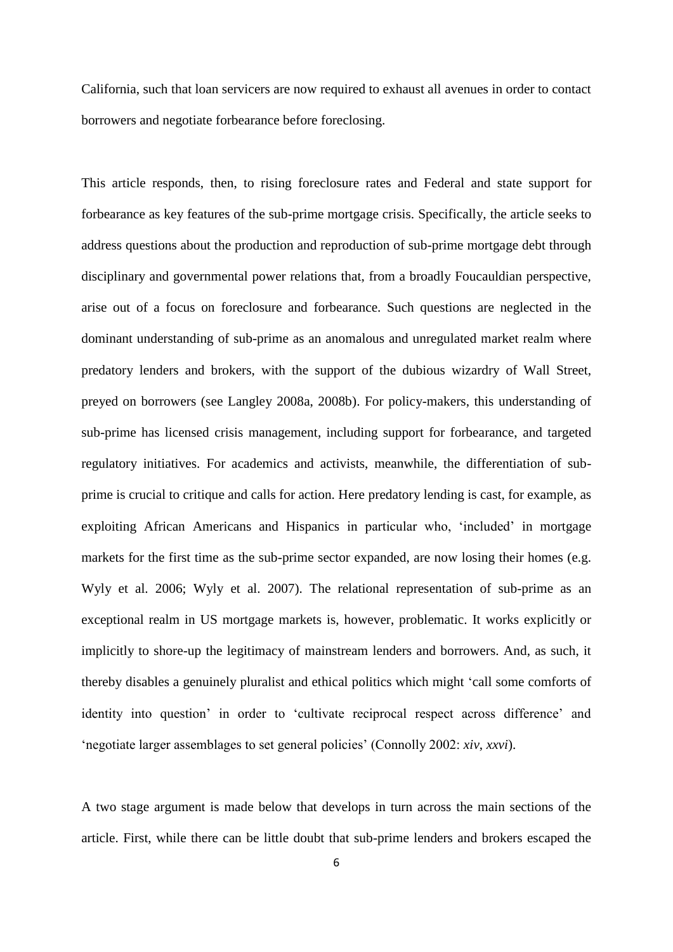California, such that loan servicers are now required to exhaust all avenues in order to contact borrowers and negotiate forbearance before foreclosing.

This article responds, then, to rising foreclosure rates and Federal and state support for forbearance as key features of the sub-prime mortgage crisis. Specifically, the article seeks to address questions about the production and reproduction of sub-prime mortgage debt through disciplinary and governmental power relations that, from a broadly Foucauldian perspective, arise out of a focus on foreclosure and forbearance. Such questions are neglected in the dominant understanding of sub-prime as an anomalous and unregulated market realm where predatory lenders and brokers, with the support of the dubious wizardry of Wall Street, preyed on borrowers (see Langley 2008a, 2008b). For policy-makers, this understanding of sub-prime has licensed crisis management, including support for forbearance, and targeted regulatory initiatives. For academics and activists, meanwhile, the differentiation of subprime is crucial to critique and calls for action. Here predatory lending is cast, for example, as exploiting African Americans and Hispanics in particular who, 'included' in mortgage markets for the first time as the sub-prime sector expanded, are now losing their homes (e.g. Wyly et al. 2006; Wyly et al. 2007). The relational representation of sub-prime as an exceptional realm in US mortgage markets is, however, problematic. It works explicitly or implicitly to shore-up the legitimacy of mainstream lenders and borrowers. And, as such, it thereby disables a genuinely pluralist and ethical politics which might 'call some comforts of identity into question' in order to 'cultivate reciprocal respect across difference' and 'negotiate larger assemblages to set general policies' (Connolly 2002: *xiv*, *xxvi*).

A two stage argument is made below that develops in turn across the main sections of the article. First, while there can be little doubt that sub-prime lenders and brokers escaped the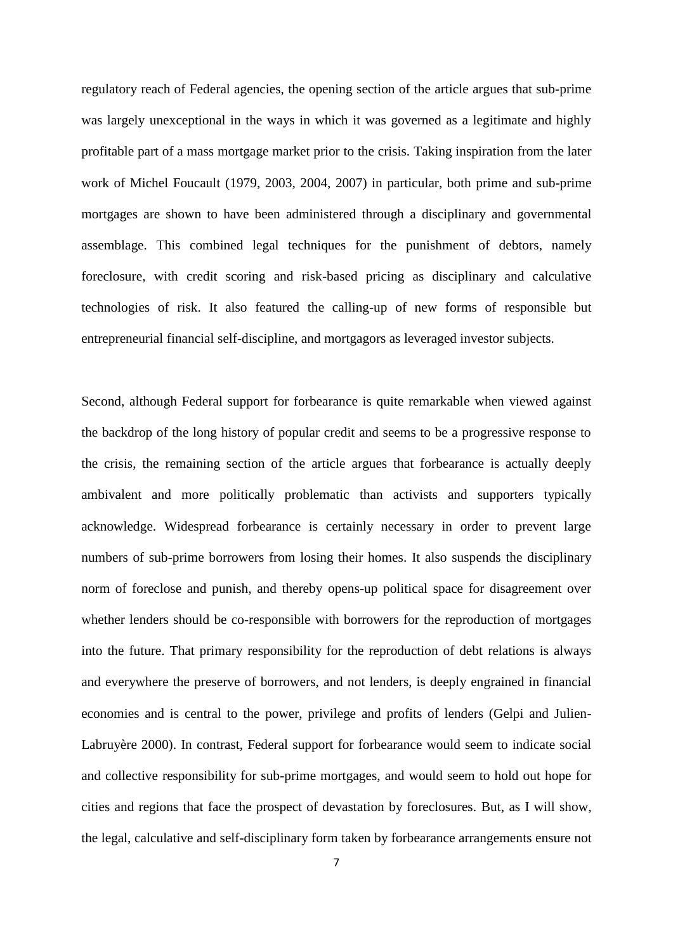regulatory reach of Federal agencies, the opening section of the article argues that sub-prime was largely unexceptional in the ways in which it was governed as a legitimate and highly profitable part of a mass mortgage market prior to the crisis. Taking inspiration from the later work of Michel Foucault (1979, 2003, 2004, 2007) in particular, both prime and sub-prime mortgages are shown to have been administered through a disciplinary and governmental assemblage. This combined legal techniques for the punishment of debtors, namely foreclosure, with credit scoring and risk-based pricing as disciplinary and calculative technologies of risk. It also featured the calling-up of new forms of responsible but entrepreneurial financial self-discipline, and mortgagors as leveraged investor subjects.

Second, although Federal support for forbearance is quite remarkable when viewed against the backdrop of the long history of popular credit and seems to be a progressive response to the crisis, the remaining section of the article argues that forbearance is actually deeply ambivalent and more politically problematic than activists and supporters typically acknowledge. Widespread forbearance is certainly necessary in order to prevent large numbers of sub-prime borrowers from losing their homes. It also suspends the disciplinary norm of foreclose and punish, and thereby opens-up political space for disagreement over whether lenders should be co-responsible with borrowers for the reproduction of mortgages into the future. That primary responsibility for the reproduction of debt relations is always and everywhere the preserve of borrowers, and not lenders, is deeply engrained in financial economies and is central to the power, privilege and profits of lenders (Gelpi and Julien-Labruyère 2000). In contrast, Federal support for forbearance would seem to indicate social and collective responsibility for sub-prime mortgages, and would seem to hold out hope for cities and regions that face the prospect of devastation by foreclosures. But, as I will show, the legal, calculative and self-disciplinary form taken by forbearance arrangements ensure not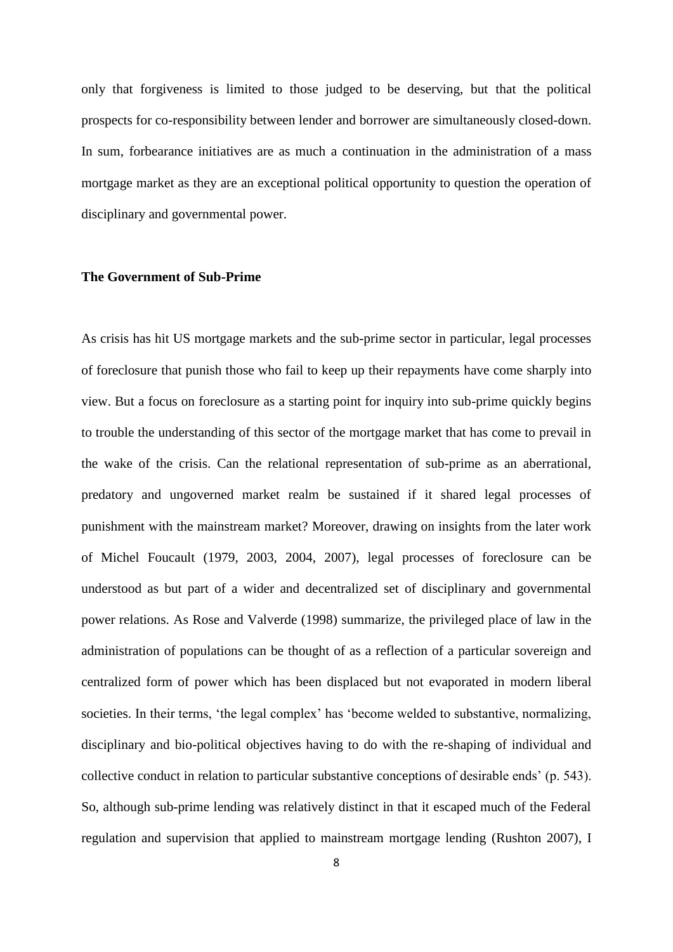only that forgiveness is limited to those judged to be deserving, but that the political prospects for co-responsibility between lender and borrower are simultaneously closed-down. In sum, forbearance initiatives are as much a continuation in the administration of a mass mortgage market as they are an exceptional political opportunity to question the operation of disciplinary and governmental power.

## **The Government of Sub-Prime**

As crisis has hit US mortgage markets and the sub-prime sector in particular, legal processes of foreclosure that punish those who fail to keep up their repayments have come sharply into view. But a focus on foreclosure as a starting point for inquiry into sub-prime quickly begins to trouble the understanding of this sector of the mortgage market that has come to prevail in the wake of the crisis. Can the relational representation of sub-prime as an aberrational, predatory and ungoverned market realm be sustained if it shared legal processes of punishment with the mainstream market? Moreover, drawing on insights from the later work of Michel Foucault (1979, 2003, 2004, 2007), legal processes of foreclosure can be understood as but part of a wider and decentralized set of disciplinary and governmental power relations. As Rose and Valverde (1998) summarize, the privileged place of law in the administration of populations can be thought of as a reflection of a particular sovereign and centralized form of power which has been displaced but not evaporated in modern liberal societies. In their terms, 'the legal complex' has 'become welded to substantive, normalizing, disciplinary and bio-political objectives having to do with the re-shaping of individual and collective conduct in relation to particular substantive conceptions of desirable ends' (p. 543). So, although sub-prime lending was relatively distinct in that it escaped much of the Federal regulation and supervision that applied to mainstream mortgage lending (Rushton 2007), I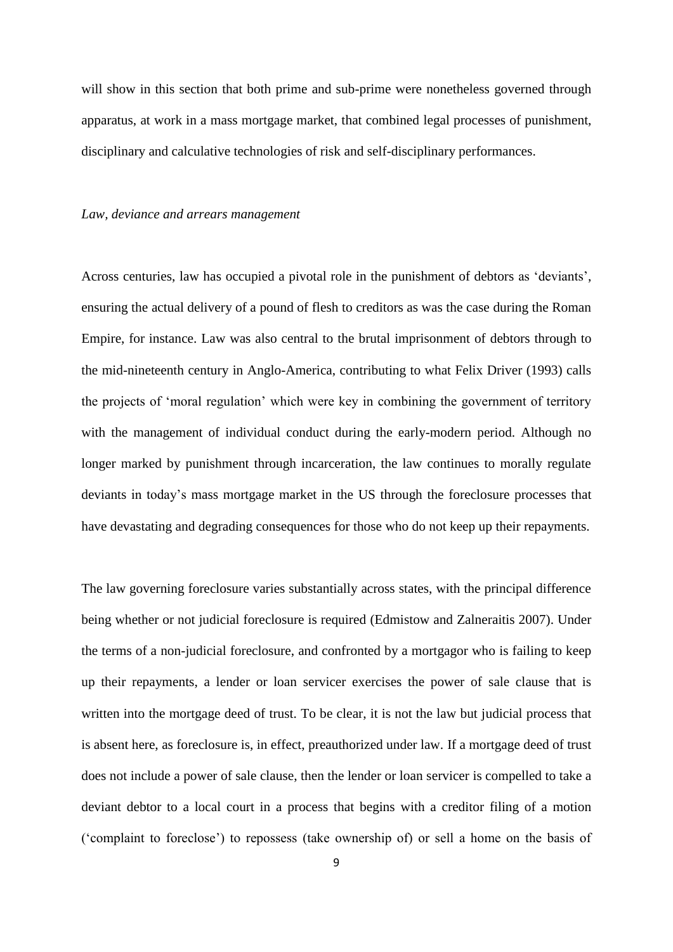will show in this section that both prime and sub-prime were nonetheless governed through apparatus, at work in a mass mortgage market, that combined legal processes of punishment, disciplinary and calculative technologies of risk and self-disciplinary performances.

#### *Law, deviance and arrears management*

Across centuries, law has occupied a pivotal role in the punishment of debtors as 'deviants', ensuring the actual delivery of a pound of flesh to creditors as was the case during the Roman Empire, for instance. Law was also central to the brutal imprisonment of debtors through to the mid-nineteenth century in Anglo-America, contributing to what Felix Driver (1993) calls the projects of 'moral regulation' which were key in combining the government of territory with the management of individual conduct during the early-modern period. Although no longer marked by punishment through incarceration, the law continues to morally regulate deviants in today's mass mortgage market in the US through the foreclosure processes that have devastating and degrading consequences for those who do not keep up their repayments.

The law governing foreclosure varies substantially across states, with the principal difference being whether or not judicial foreclosure is required (Edmistow and Zalneraitis 2007). Under the terms of a non-judicial foreclosure, and confronted by a mortgagor who is failing to keep up their repayments, a lender or loan servicer exercises the power of sale clause that is written into the mortgage deed of trust. To be clear, it is not the law but judicial process that is absent here, as foreclosure is, in effect, preauthorized under law. If a mortgage deed of trust does not include a power of sale clause, then the lender or loan servicer is compelled to take a deviant debtor to a local court in a process that begins with a creditor filing of a motion ('complaint to foreclose') to repossess (take ownership of) or sell a home on the basis of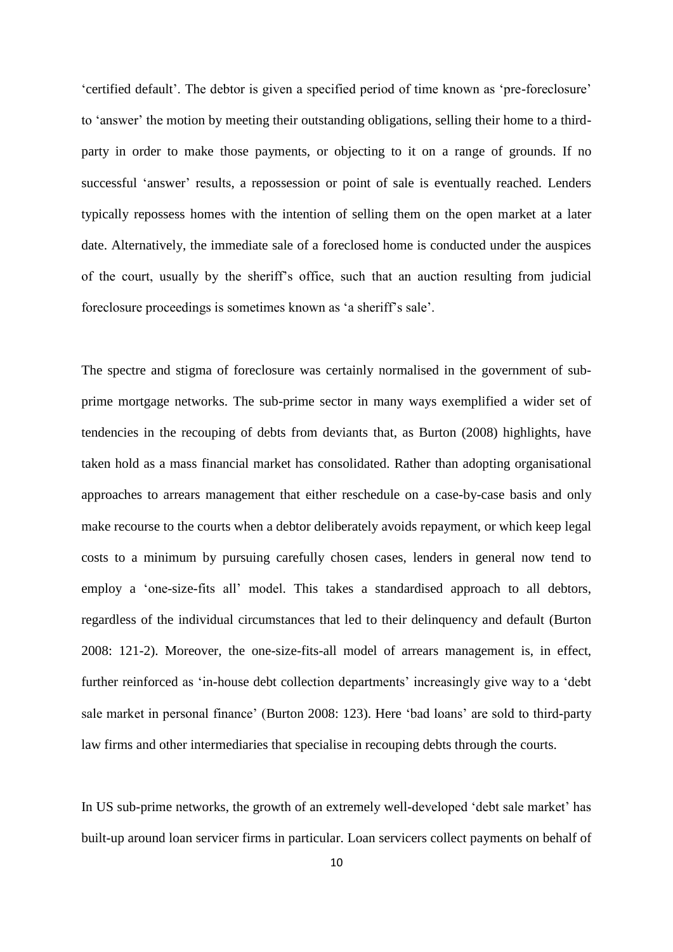'certified default'. The debtor is given a specified period of time known as 'pre-foreclosure' to 'answer' the motion by meeting their outstanding obligations, selling their home to a thirdparty in order to make those payments, or objecting to it on a range of grounds. If no successful 'answer' results, a repossession or point of sale is eventually reached. Lenders typically repossess homes with the intention of selling them on the open market at a later date. Alternatively, the immediate sale of a foreclosed home is conducted under the auspices of the court, usually by the sheriff's office, such that an auction resulting from judicial foreclosure proceedings is sometimes known as 'a sheriff's sale'.

The spectre and stigma of foreclosure was certainly normalised in the government of subprime mortgage networks. The sub-prime sector in many ways exemplified a wider set of tendencies in the recouping of debts from deviants that, as Burton (2008) highlights, have taken hold as a mass financial market has consolidated. Rather than adopting organisational approaches to arrears management that either reschedule on a case-by-case basis and only make recourse to the courts when a debtor deliberately avoids repayment, or which keep legal costs to a minimum by pursuing carefully chosen cases, lenders in general now tend to employ a 'one-size-fits all' model. This takes a standardised approach to all debtors, regardless of the individual circumstances that led to their delinquency and default (Burton 2008: 121-2). Moreover, the one-size-fits-all model of arrears management is, in effect, further reinforced as 'in-house debt collection departments' increasingly give way to a 'debt sale market in personal finance' (Burton 2008: 123). Here 'bad loans' are sold to third-party law firms and other intermediaries that specialise in recouping debts through the courts.

In US sub-prime networks, the growth of an extremely well-developed 'debt sale market' has built-up around loan servicer firms in particular. Loan servicers collect payments on behalf of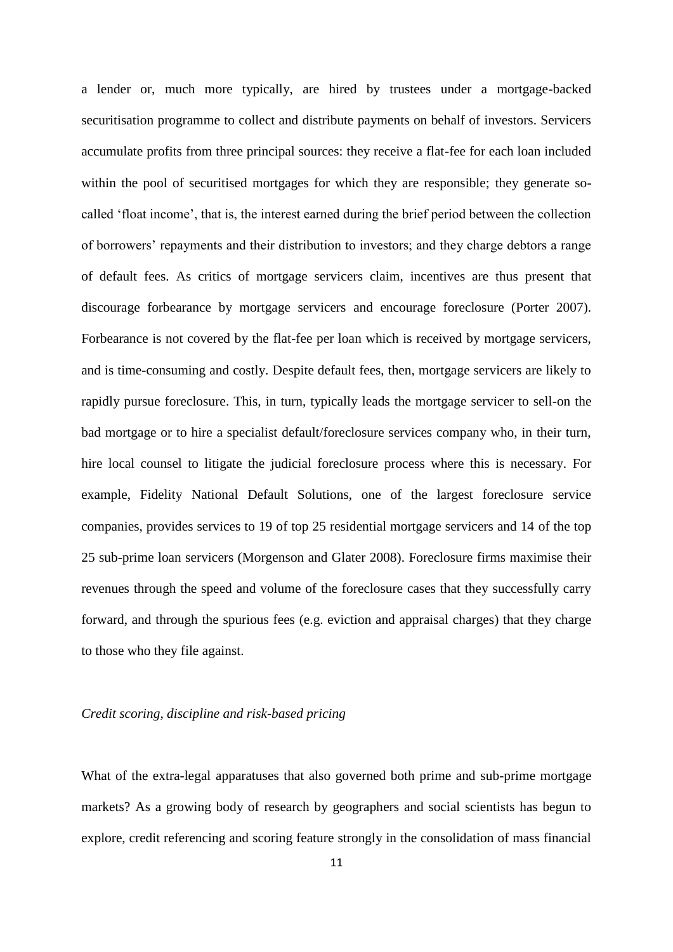a lender or, much more typically, are hired by trustees under a mortgage-backed securitisation programme to collect and distribute payments on behalf of investors. Servicers accumulate profits from three principal sources: they receive a flat-fee for each loan included within the pool of securitised mortgages for which they are responsible; they generate socalled 'float income', that is, the interest earned during the brief period between the collection of borrowers' repayments and their distribution to investors; and they charge debtors a range of default fees. As critics of mortgage servicers claim, incentives are thus present that discourage forbearance by mortgage servicers and encourage foreclosure (Porter 2007). Forbearance is not covered by the flat-fee per loan which is received by mortgage servicers, and is time-consuming and costly. Despite default fees, then, mortgage servicers are likely to rapidly pursue foreclosure. This, in turn, typically leads the mortgage servicer to sell-on the bad mortgage or to hire a specialist default/foreclosure services company who, in their turn, hire local counsel to litigate the judicial foreclosure process where this is necessary. For example, Fidelity National Default Solutions, one of the largest foreclosure service companies, provides services to 19 of top 25 residential mortgage servicers and 14 of the top 25 sub-prime loan servicers (Morgenson and Glater 2008). Foreclosure firms maximise their revenues through the speed and volume of the foreclosure cases that they successfully carry forward, and through the spurious fees (e.g. eviction and appraisal charges) that they charge to those who they file against.

## *Credit scoring, discipline and risk-based pricing*

What of the extra-legal apparatuses that also governed both prime and sub-prime mortgage markets? As a growing body of research by geographers and social scientists has begun to explore, credit referencing and scoring feature strongly in the consolidation of mass financial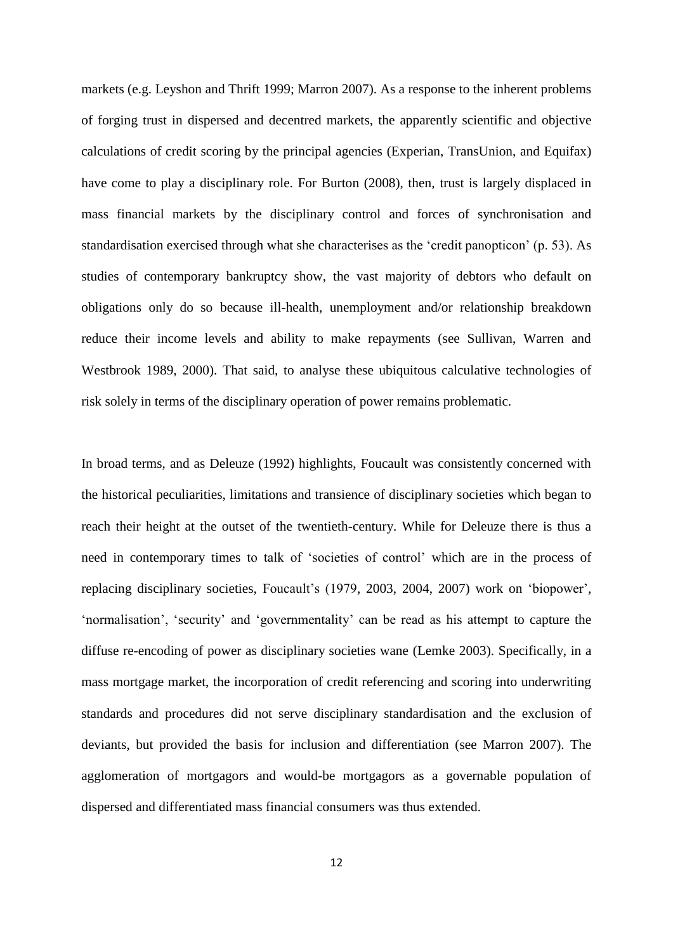markets (e.g. Leyshon and Thrift 1999; Marron 2007). As a response to the inherent problems of forging trust in dispersed and decentred markets, the apparently scientific and objective calculations of credit scoring by the principal agencies (Experian, TransUnion, and Equifax) have come to play a disciplinary role. For Burton (2008), then, trust is largely displaced in mass financial markets by the disciplinary control and forces of synchronisation and standardisation exercised through what she characterises as the 'credit panopticon' (p. 53). As studies of contemporary bankruptcy show, the vast majority of debtors who default on obligations only do so because ill-health, unemployment and/or relationship breakdown reduce their income levels and ability to make repayments (see Sullivan, Warren and Westbrook 1989, 2000). That said, to analyse these ubiquitous calculative technologies of risk solely in terms of the disciplinary operation of power remains problematic.

In broad terms, and as Deleuze (1992) highlights, Foucault was consistently concerned with the historical peculiarities, limitations and transience of disciplinary societies which began to reach their height at the outset of the twentieth-century. While for Deleuze there is thus a need in contemporary times to talk of 'societies of control' which are in the process of replacing disciplinary societies, Foucault's (1979, 2003, 2004, 2007) work on 'biopower', 'normalisation', 'security' and 'governmentality' can be read as his attempt to capture the diffuse re-encoding of power as disciplinary societies wane (Lemke 2003). Specifically, in a mass mortgage market, the incorporation of credit referencing and scoring into underwriting standards and procedures did not serve disciplinary standardisation and the exclusion of deviants, but provided the basis for inclusion and differentiation (see Marron 2007). The agglomeration of mortgagors and would-be mortgagors as a governable population of dispersed and differentiated mass financial consumers was thus extended.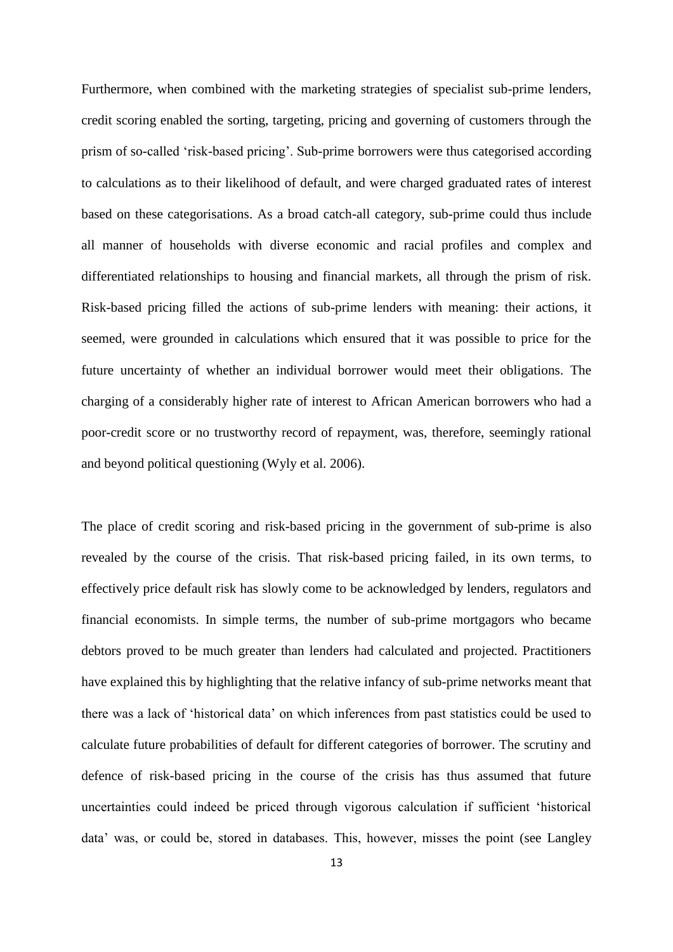Furthermore, when combined with the marketing strategies of specialist sub-prime lenders, credit scoring enabled the sorting, targeting, pricing and governing of customers through the prism of so-called 'risk-based pricing'. Sub-prime borrowers were thus categorised according to calculations as to their likelihood of default, and were charged graduated rates of interest based on these categorisations. As a broad catch-all category, sub-prime could thus include all manner of households with diverse economic and racial profiles and complex and differentiated relationships to housing and financial markets, all through the prism of risk. Risk-based pricing filled the actions of sub-prime lenders with meaning: their actions, it seemed, were grounded in calculations which ensured that it was possible to price for the future uncertainty of whether an individual borrower would meet their obligations. The charging of a considerably higher rate of interest to African American borrowers who had a poor-credit score or no trustworthy record of repayment, was, therefore, seemingly rational and beyond political questioning (Wyly et al. 2006).

The place of credit scoring and risk-based pricing in the government of sub-prime is also revealed by the course of the crisis. That risk-based pricing failed, in its own terms, to effectively price default risk has slowly come to be acknowledged by lenders, regulators and financial economists. In simple terms, the number of sub-prime mortgagors who became debtors proved to be much greater than lenders had calculated and projected. Practitioners have explained this by highlighting that the relative infancy of sub-prime networks meant that there was a lack of 'historical data' on which inferences from past statistics could be used to calculate future probabilities of default for different categories of borrower. The scrutiny and defence of risk-based pricing in the course of the crisis has thus assumed that future uncertainties could indeed be priced through vigorous calculation if sufficient 'historical data' was, or could be, stored in databases. This, however, misses the point (see Langley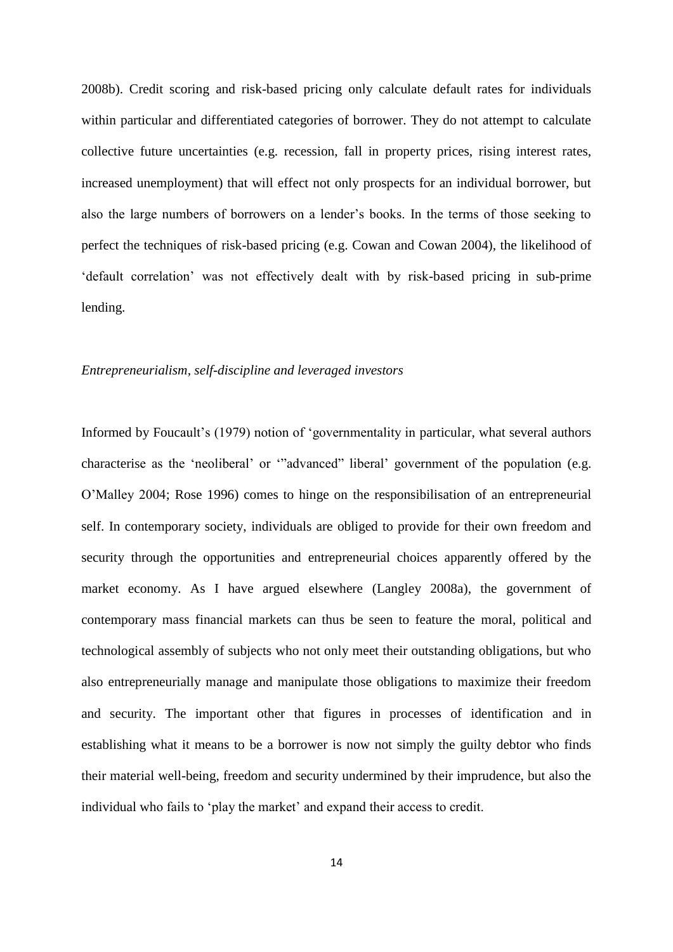2008b). Credit scoring and risk-based pricing only calculate default rates for individuals within particular and differentiated categories of borrower. They do not attempt to calculate collective future uncertainties (e.g. recession, fall in property prices, rising interest rates, increased unemployment) that will effect not only prospects for an individual borrower, but also the large numbers of borrowers on a lender's books. In the terms of those seeking to perfect the techniques of risk-based pricing (e.g. Cowan and Cowan 2004), the likelihood of 'default correlation' was not effectively dealt with by risk-based pricing in sub-prime lending.

## *Entrepreneurialism, self-discipline and leveraged investors*

Informed by Foucault's (1979) notion of 'governmentality in particular, what several authors characterise as the 'neoliberal' or '"advanced" liberal' government of the population (e.g. O'Malley 2004; Rose 1996) comes to hinge on the responsibilisation of an entrepreneurial self. In contemporary society, individuals are obliged to provide for their own freedom and security through the opportunities and entrepreneurial choices apparently offered by the market economy. As I have argued elsewhere (Langley 2008a), the government of contemporary mass financial markets can thus be seen to feature the moral, political and technological assembly of subjects who not only meet their outstanding obligations, but who also entrepreneurially manage and manipulate those obligations to maximize their freedom and security. The important other that figures in processes of identification and in establishing what it means to be a borrower is now not simply the guilty debtor who finds their material well-being, freedom and security undermined by their imprudence, but also the individual who fails to 'play the market' and expand their access to credit.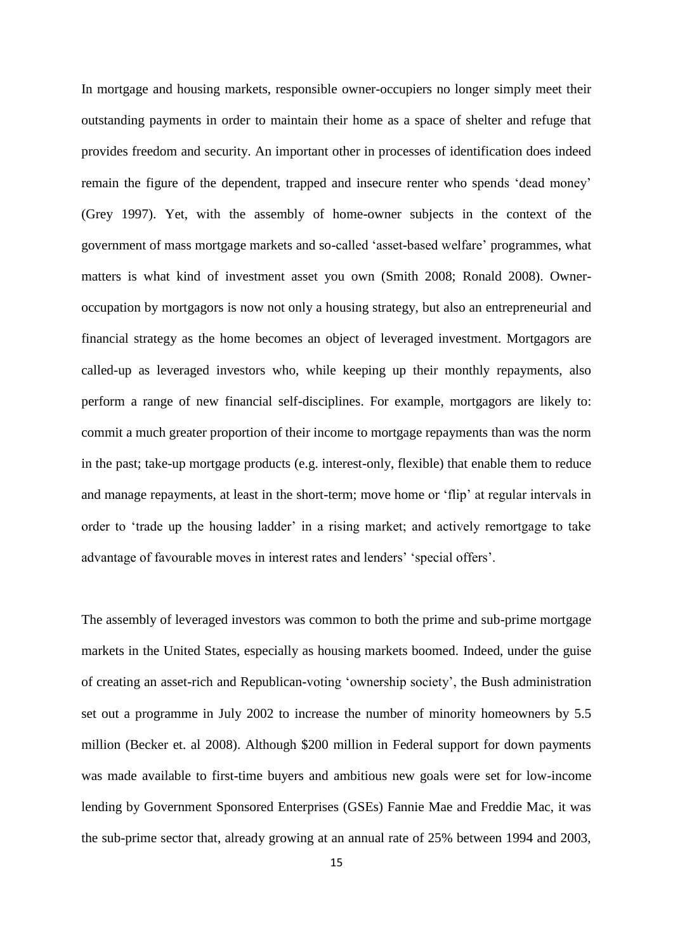In mortgage and housing markets, responsible owner-occupiers no longer simply meet their outstanding payments in order to maintain their home as a space of shelter and refuge that provides freedom and security. An important other in processes of identification does indeed remain the figure of the dependent, trapped and insecure renter who spends 'dead money' (Grey 1997). Yet, with the assembly of home-owner subjects in the context of the government of mass mortgage markets and so-called 'asset-based welfare' programmes, what matters is what kind of investment asset you own (Smith 2008; Ronald 2008). Owneroccupation by mortgagors is now not only a housing strategy, but also an entrepreneurial and financial strategy as the home becomes an object of leveraged investment. Mortgagors are called-up as leveraged investors who, while keeping up their monthly repayments, also perform a range of new financial self-disciplines. For example, mortgagors are likely to: commit a much greater proportion of their income to mortgage repayments than was the norm in the past; take-up mortgage products (e.g. interest-only, flexible) that enable them to reduce and manage repayments, at least in the short-term; move home or 'flip' at regular intervals in order to 'trade up the housing ladder' in a rising market; and actively remortgage to take advantage of favourable moves in interest rates and lenders' 'special offers'.

The assembly of leveraged investors was common to both the prime and sub-prime mortgage markets in the United States, especially as housing markets boomed. Indeed, under the guise of creating an asset-rich and Republican-voting 'ownership society', the Bush administration set out a programme in July 2002 to increase the number of minority homeowners by 5.5 million (Becker et. al 2008). Although \$200 million in Federal support for down payments was made available to first-time buyers and ambitious new goals were set for low-income lending by Government Sponsored Enterprises (GSEs) Fannie Mae and Freddie Mac, it was the sub-prime sector that, already growing at an annual rate of 25% between 1994 and 2003,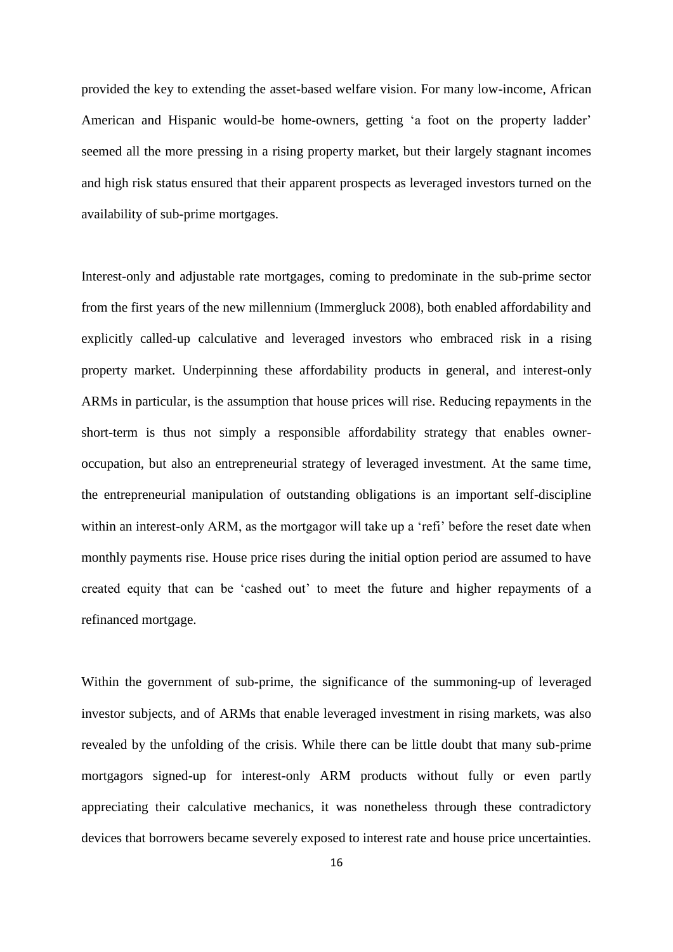provided the key to extending the asset-based welfare vision. For many low-income, African American and Hispanic would-be home-owners, getting 'a foot on the property ladder' seemed all the more pressing in a rising property market, but their largely stagnant incomes and high risk status ensured that their apparent prospects as leveraged investors turned on the availability of sub-prime mortgages.

Interest-only and adjustable rate mortgages, coming to predominate in the sub-prime sector from the first years of the new millennium (Immergluck 2008), both enabled affordability and explicitly called-up calculative and leveraged investors who embraced risk in a rising property market. Underpinning these affordability products in general, and interest-only ARMs in particular, is the assumption that house prices will rise. Reducing repayments in the short-term is thus not simply a responsible affordability strategy that enables owneroccupation, but also an entrepreneurial strategy of leveraged investment. At the same time, the entrepreneurial manipulation of outstanding obligations is an important self-discipline within an interest-only ARM, as the mortgagor will take up a 'refi' before the reset date when monthly payments rise. House price rises during the initial option period are assumed to have created equity that can be 'cashed out' to meet the future and higher repayments of a refinanced mortgage.

Within the government of sub-prime, the significance of the summoning-up of leveraged investor subjects, and of ARMs that enable leveraged investment in rising markets, was also revealed by the unfolding of the crisis. While there can be little doubt that many sub-prime mortgagors signed-up for interest-only ARM products without fully or even partly appreciating their calculative mechanics, it was nonetheless through these contradictory devices that borrowers became severely exposed to interest rate and house price uncertainties.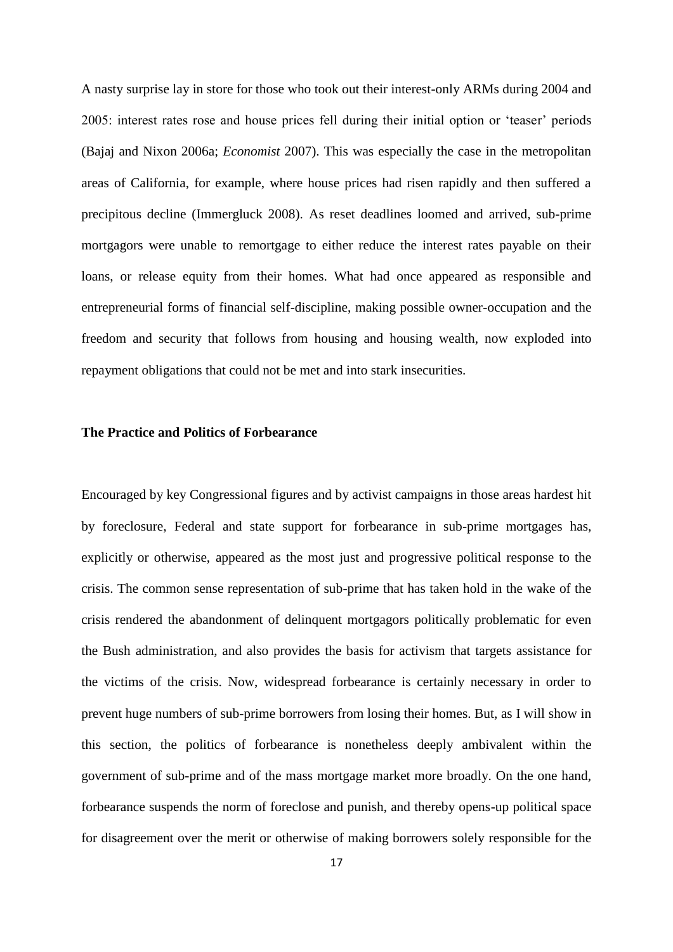A nasty surprise lay in store for those who took out their interest-only ARMs during 2004 and 2005: interest rates rose and house prices fell during their initial option or 'teaser' periods (Bajaj and Nixon 2006a; *Economist* 2007). This was especially the case in the metropolitan areas of California, for example, where house prices had risen rapidly and then suffered a precipitous decline (Immergluck 2008). As reset deadlines loomed and arrived, sub-prime mortgagors were unable to remortgage to either reduce the interest rates payable on their loans, or release equity from their homes. What had once appeared as responsible and entrepreneurial forms of financial self-discipline, making possible owner-occupation and the freedom and security that follows from housing and housing wealth, now exploded into repayment obligations that could not be met and into stark insecurities.

# **The Practice and Politics of Forbearance**

Encouraged by key Congressional figures and by activist campaigns in those areas hardest hit by foreclosure, Federal and state support for forbearance in sub-prime mortgages has, explicitly or otherwise, appeared as the most just and progressive political response to the crisis. The common sense representation of sub-prime that has taken hold in the wake of the crisis rendered the abandonment of delinquent mortgagors politically problematic for even the Bush administration, and also provides the basis for activism that targets assistance for the victims of the crisis. Now, widespread forbearance is certainly necessary in order to prevent huge numbers of sub-prime borrowers from losing their homes. But, as I will show in this section, the politics of forbearance is nonetheless deeply ambivalent within the government of sub-prime and of the mass mortgage market more broadly. On the one hand, forbearance suspends the norm of foreclose and punish, and thereby opens-up political space for disagreement over the merit or otherwise of making borrowers solely responsible for the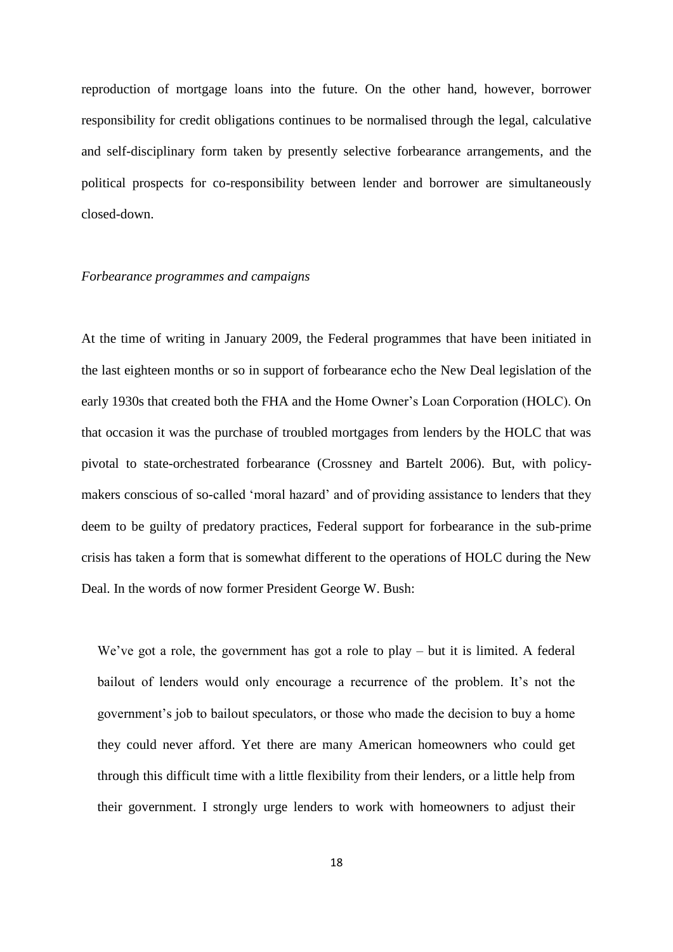reproduction of mortgage loans into the future. On the other hand, however, borrower responsibility for credit obligations continues to be normalised through the legal, calculative and self-disciplinary form taken by presently selective forbearance arrangements, and the political prospects for co-responsibility between lender and borrower are simultaneously closed-down.

#### *Forbearance programmes and campaigns*

At the time of writing in January 2009, the Federal programmes that have been initiated in the last eighteen months or so in support of forbearance echo the New Deal legislation of the early 1930s that created both the FHA and the Home Owner's Loan Corporation (HOLC). On that occasion it was the purchase of troubled mortgages from lenders by the HOLC that was pivotal to state-orchestrated forbearance (Crossney and Bartelt 2006). But, with policymakers conscious of so-called 'moral hazard' and of providing assistance to lenders that they deem to be guilty of predatory practices, Federal support for forbearance in the sub-prime crisis has taken a form that is somewhat different to the operations of HOLC during the New Deal. In the words of now former President George W. Bush:

We've got a role, the government has got a role to play – but it is limited. A federal bailout of lenders would only encourage a recurrence of the problem. It's not the government's job to bailout speculators, or those who made the decision to buy a home they could never afford. Yet there are many American homeowners who could get through this difficult time with a little flexibility from their lenders, or a little help from their government. I strongly urge lenders to work with homeowners to adjust their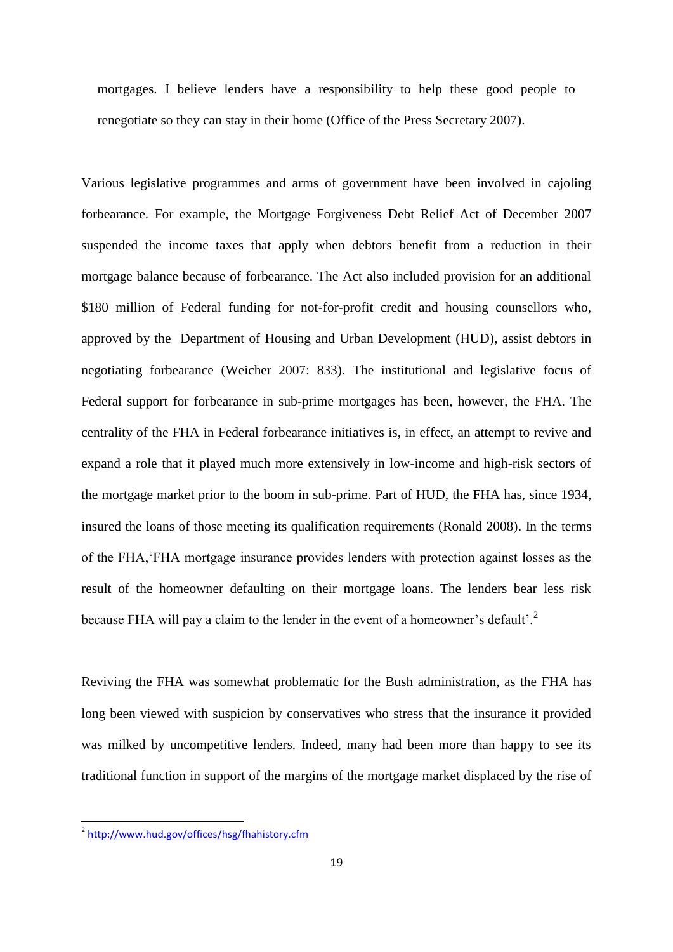mortgages. I believe lenders have a responsibility to help these good people to renegotiate so they can stay in their home (Office of the Press Secretary 2007).

Various legislative programmes and arms of government have been involved in cajoling forbearance. For example, the Mortgage Forgiveness Debt Relief Act of December 2007 suspended the income taxes that apply when debtors benefit from a reduction in their mortgage balance because of forbearance. The Act also included provision for an additional \$180 million of Federal funding for not-for-profit credit and housing counsellors who, approved by the Department of Housing and Urban Development (HUD), assist debtors in negotiating forbearance (Weicher 2007: 833). The institutional and legislative focus of Federal support for forbearance in sub-prime mortgages has been, however, the FHA. The centrality of the FHA in Federal forbearance initiatives is, in effect, an attempt to revive and expand a role that it played much more extensively in low-income and high-risk sectors of the mortgage market prior to the boom in sub-prime. Part of HUD, the FHA has, since 1934, insured the loans of those meeting its qualification requirements (Ronald 2008). In the terms of the FHA,'FHA mortgage insurance provides lenders with protection against losses as the result of the homeowner defaulting on their mortgage loans. The lenders bear less risk because FHA will pay a claim to the lender in the event of a homeowner's default'.<sup>2</sup>

Reviving the FHA was somewhat problematic for the Bush administration, as the FHA has long been viewed with suspicion by conservatives who stress that the insurance it provided was milked by uncompetitive lenders. Indeed, many had been more than happy to see its traditional function in support of the margins of the mortgage market displaced by the rise of

<sup>&</sup>lt;sup>2</sup> <http://www.hud.gov/offices/hsg/fhahistory.cfm>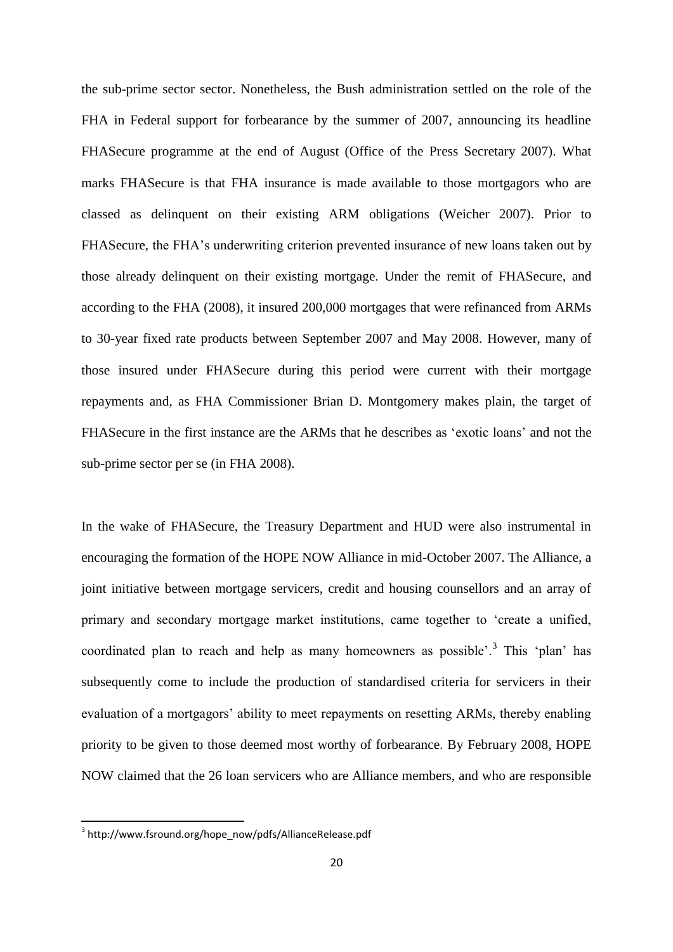the sub-prime sector sector. Nonetheless, the Bush administration settled on the role of the FHA in Federal support for forbearance by the summer of 2007, announcing its headline FHASecure programme at the end of August (Office of the Press Secretary 2007). What marks FHASecure is that FHA insurance is made available to those mortgagors who are classed as delinquent on their existing ARM obligations (Weicher 2007). Prior to FHASecure, the FHA's underwriting criterion prevented insurance of new loans taken out by those already delinquent on their existing mortgage. Under the remit of FHASecure, and according to the FHA (2008), it insured 200,000 mortgages that were refinanced from ARMs to 30-year fixed rate products between September 2007 and May 2008. However, many of those insured under FHASecure during this period were current with their mortgage repayments and, as FHA Commissioner Brian D. Montgomery makes plain, the target of FHASecure in the first instance are the ARMs that he describes as 'exotic loans' and not the sub-prime sector per se (in FHA 2008).

In the wake of FHASecure, the Treasury Department and HUD were also instrumental in encouraging the formation of the HOPE NOW Alliance in mid-October 2007. The Alliance, a joint initiative between mortgage servicers, credit and housing counsellors and an array of primary and secondary mortgage market institutions, came together to 'create a unified, coordinated plan to reach and help as many homeowners as possible'.<sup>3</sup> This 'plan' has subsequently come to include the production of standardised criteria for servicers in their evaluation of a mortgagors' ability to meet repayments on resetting ARMs, thereby enabling priority to be given to those deemed most worthy of forbearance. By February 2008, HOPE NOW claimed that the 26 loan servicers who are Alliance members, and who are responsible

<sup>3</sup> http://www.fsround.org/hope\_now/pdfs/AllianceRelease.pdf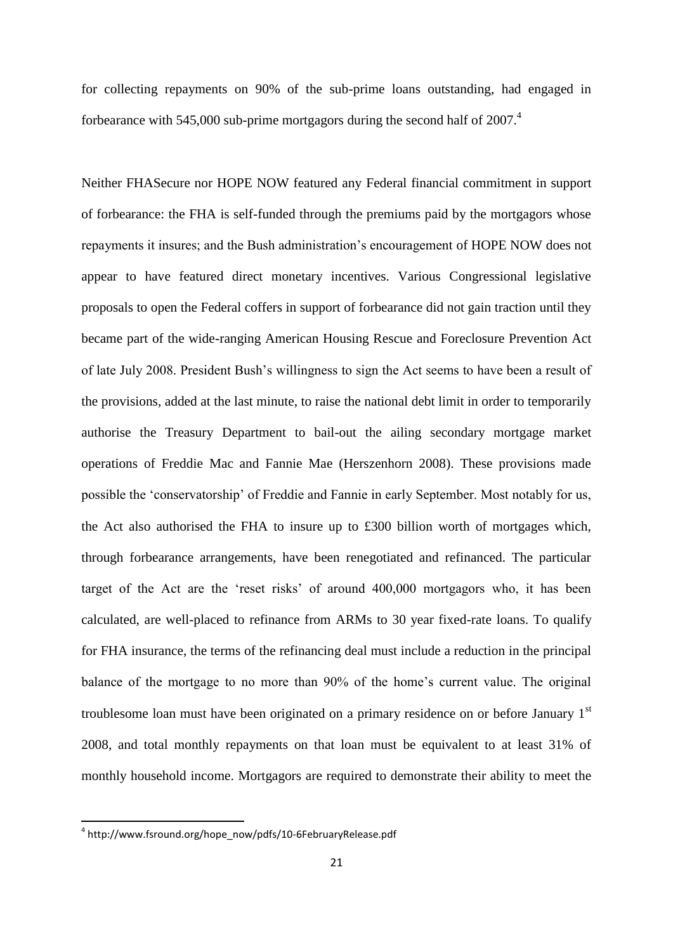for collecting repayments on 90% of the sub-prime loans outstanding, had engaged in forbearance with 545,000 sub-prime mortgagors during the second half of  $2007<sup>4</sup>$ 

Neither FHASecure nor HOPE NOW featured any Federal financial commitment in support of forbearance: the FHA is self-funded through the premiums paid by the mortgagors whose repayments it insures; and the Bush administration's encouragement of HOPE NOW does not appear to have featured direct monetary incentives. Various Congressional legislative proposals to open the Federal coffers in support of forbearance did not gain traction until they became part of the wide-ranging American Housing Rescue and Foreclosure Prevention Act of late July 2008. President Bush's willingness to sign the Act seems to have been a result of the provisions, added at the last minute, to raise the national debt limit in order to temporarily authorise the Treasury Department to bail-out the ailing secondary mortgage market operations of Freddie Mac and Fannie Mae (Herszenhorn 2008). These provisions made possible the 'conservatorship' of Freddie and Fannie in early September. Most notably for us, the Act also authorised the FHA to insure up to £300 billion worth of mortgages which, through forbearance arrangements, have been renegotiated and refinanced. The particular target of the Act are the 'reset risks' of around 400,000 mortgagors who, it has been calculated, are well-placed to refinance from ARMs to 30 year fixed-rate loans. To qualify for FHA insurance, the terms of the refinancing deal must include a reduction in the principal balance of the mortgage to no more than 90% of the home's current value. The original troublesome loan must have been originated on a primary residence on or before January 1<sup>st</sup> 2008, and total monthly repayments on that loan must be equivalent to at least 31% of monthly household income. Mortgagors are required to demonstrate their ability to meet the

<sup>4</sup> http://www.fsround.org/hope\_now/pdfs/10-6FebruaryRelease.pdf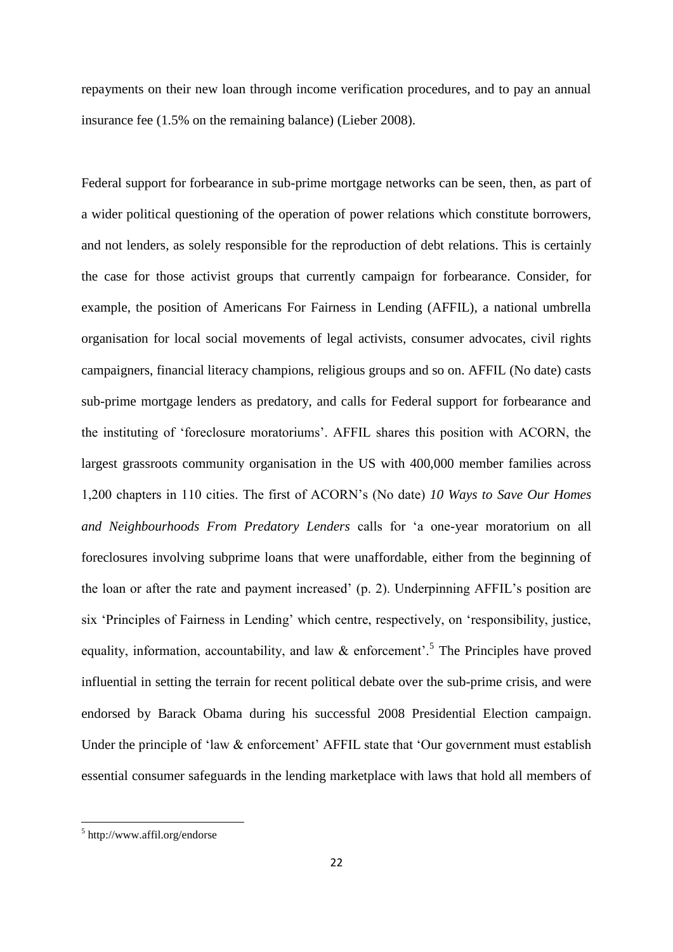repayments on their new loan through income verification procedures, and to pay an annual insurance fee (1.5% on the remaining balance) (Lieber 2008).

Federal support for forbearance in sub-prime mortgage networks can be seen, then, as part of a wider political questioning of the operation of power relations which constitute borrowers, and not lenders, as solely responsible for the reproduction of debt relations. This is certainly the case for those activist groups that currently campaign for forbearance. Consider, for example, the position of Americans For Fairness in Lending (AFFIL), a national umbrella organisation for local social movements of legal activists, consumer advocates, civil rights campaigners, financial literacy champions, religious groups and so on. AFFIL (No date) casts sub-prime mortgage lenders as predatory, and calls for Federal support for forbearance and the instituting of 'foreclosure moratoriums'. AFFIL shares this position with ACORN, the largest grassroots community organisation in the US with 400,000 member families across 1,200 chapters in 110 cities. The first of ACORN's (No date) *10 Ways to Save Our Homes and Neighbourhoods From Predatory Lenders* calls for 'a one-year moratorium on all foreclosures involving subprime loans that were unaffordable, either from the beginning of the loan or after the rate and payment increased' (p. 2). Underpinning AFFIL's position are six 'Principles of Fairness in Lending' which centre, respectively, on 'responsibility, justice, equality, information, accountability, and law  $\&$  enforcement'.<sup>5</sup> The Principles have proved influential in setting the terrain for recent political debate over the sub-prime crisis, and were endorsed by Barack Obama during his successful 2008 Presidential Election campaign. Under the principle of 'law & enforcement' AFFIL state that 'Our government must establish essential consumer safeguards in the lending marketplace with laws that hold all members of

<sup>5</sup> http://www.affil.org/endorse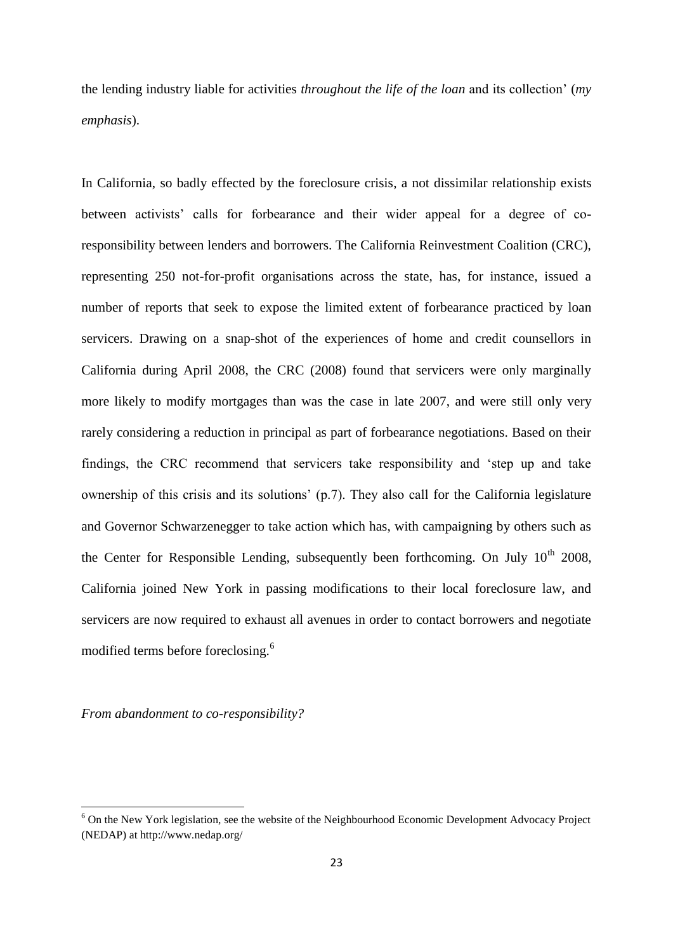the lending industry liable for activities *throughout the life of the loan* and its collection' (*my emphasis*).

In California, so badly effected by the foreclosure crisis, a not dissimilar relationship exists between activists' calls for forbearance and their wider appeal for a degree of coresponsibility between lenders and borrowers. The California Reinvestment Coalition (CRC), representing 250 not-for-profit organisations across the state, has, for instance, issued a number of reports that seek to expose the limited extent of forbearance practiced by loan servicers. Drawing on a snap-shot of the experiences of home and credit counsellors in California during April 2008, the CRC (2008) found that servicers were only marginally more likely to modify mortgages than was the case in late 2007, and were still only very rarely considering a reduction in principal as part of forbearance negotiations. Based on their findings, the CRC recommend that servicers take responsibility and 'step up and take ownership of this crisis and its solutions' (p.7). They also call for the California legislature and Governor Schwarzenegger to take action which has, with campaigning by others such as the Center for Responsible Lending, subsequently been forthcoming. On July  $10^{th}$  2008, California joined New York in passing modifications to their local foreclosure law, and servicers are now required to exhaust all avenues in order to contact borrowers and negotiate modified terms before foreclosing.<sup>6</sup>

*From abandonment to co-responsibility?*

**.** 

<sup>&</sup>lt;sup>6</sup> On the New York legislation, see the website of the Neighbourhood Economic Development Advocacy Project (NEDAP) at http://www.nedap.org/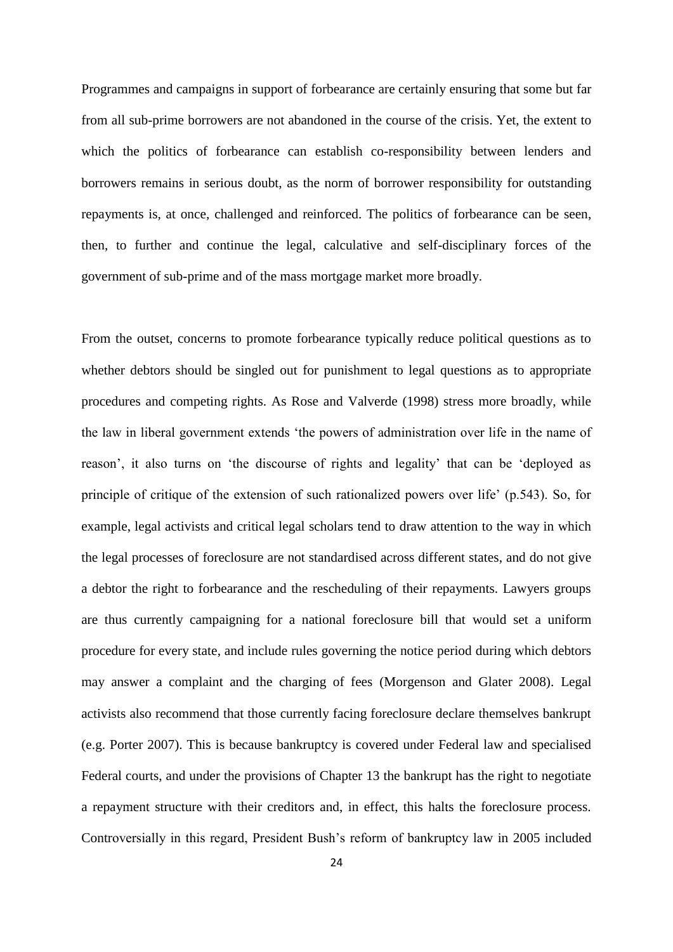Programmes and campaigns in support of forbearance are certainly ensuring that some but far from all sub-prime borrowers are not abandoned in the course of the crisis. Yet, the extent to which the politics of forbearance can establish co-responsibility between lenders and borrowers remains in serious doubt, as the norm of borrower responsibility for outstanding repayments is, at once, challenged and reinforced. The politics of forbearance can be seen, then, to further and continue the legal, calculative and self-disciplinary forces of the government of sub-prime and of the mass mortgage market more broadly.

From the outset, concerns to promote forbearance typically reduce political questions as to whether debtors should be singled out for punishment to legal questions as to appropriate procedures and competing rights. As Rose and Valverde (1998) stress more broadly, while the law in liberal government extends 'the powers of administration over life in the name of reason', it also turns on 'the discourse of rights and legality' that can be 'deployed as principle of critique of the extension of such rationalized powers over life' (p.543). So, for example, legal activists and critical legal scholars tend to draw attention to the way in which the legal processes of foreclosure are not standardised across different states, and do not give a debtor the right to forbearance and the rescheduling of their repayments. Lawyers groups are thus currently campaigning for a national foreclosure bill that would set a uniform procedure for every state, and include rules governing the notice period during which debtors may answer a complaint and the charging of fees (Morgenson and Glater 2008). Legal activists also recommend that those currently facing foreclosure declare themselves bankrupt (e.g. Porter 2007). This is because bankruptcy is covered under Federal law and specialised Federal courts, and under the provisions of Chapter 13 the bankrupt has the right to negotiate a repayment structure with their creditors and, in effect, this halts the foreclosure process. Controversially in this regard, President Bush's reform of bankruptcy law in 2005 included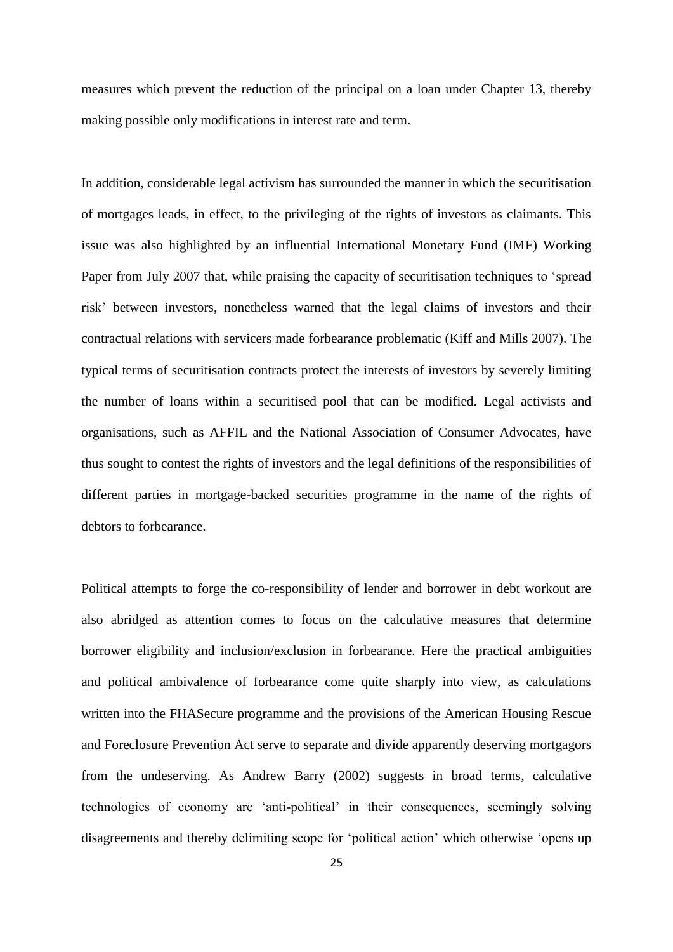measures which prevent the reduction of the principal on a loan under Chapter 13, thereby making possible only modifications in interest rate and term.

In addition, considerable legal activism has surrounded the manner in which the securitisation of mortgages leads, in effect, to the privileging of the rights of investors as claimants. This issue was also highlighted by an influential International Monetary Fund (IMF) Working Paper from July 2007 that, while praising the capacity of securitisation techniques to 'spread risk' between investors, nonetheless warned that the legal claims of investors and their contractual relations with servicers made forbearance problematic (Kiff and Mills 2007). The typical terms of securitisation contracts protect the interests of investors by severely limiting the number of loans within a securitised pool that can be modified. Legal activists and organisations, such as AFFIL and the National Association of Consumer Advocates, have thus sought to contest the rights of investors and the legal definitions of the responsibilities of different parties in mortgage-backed securities programme in the name of the rights of debtors to forbearance.

Political attempts to forge the co-responsibility of lender and borrower in debt workout are also abridged as attention comes to focus on the calculative measures that determine borrower eligibility and inclusion/exclusion in forbearance. Here the practical ambiguities and political ambivalence of forbearance come quite sharply into view, as calculations written into the FHASecure programme and the provisions of the American Housing Rescue and Foreclosure Prevention Act serve to separate and divide apparently deserving mortgagors from the undeserving. As Andrew Barry (2002) suggests in broad terms, calculative technologies of economy are 'anti-political' in their consequences, seemingly solving disagreements and thereby delimiting scope for 'political action' which otherwise 'opens up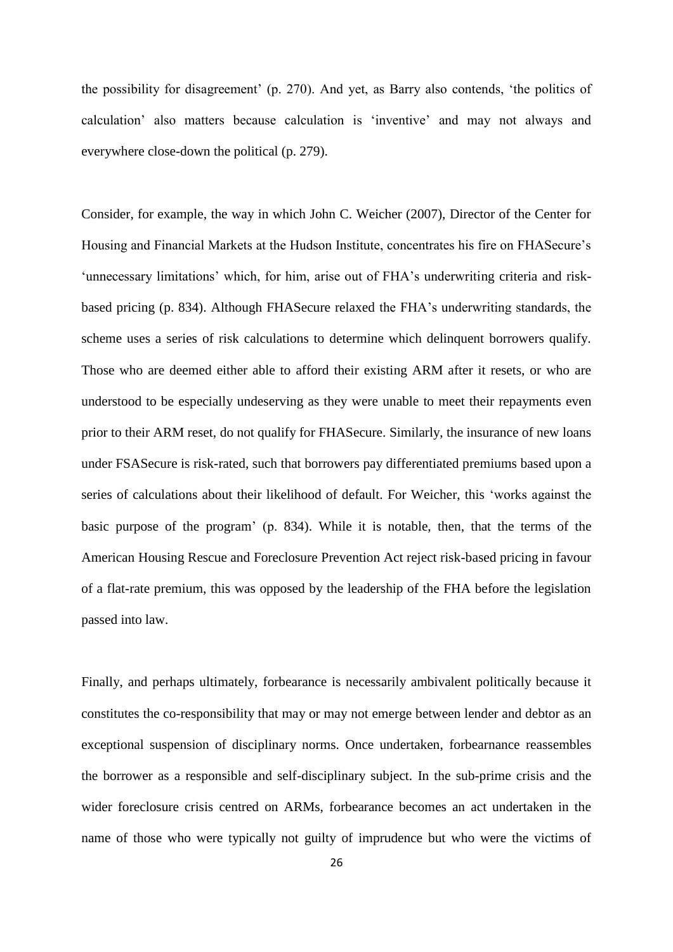the possibility for disagreement' (p. 270). And yet, as Barry also contends, 'the politics of calculation' also matters because calculation is 'inventive' and may not always and everywhere close-down the political (p. 279).

Consider, for example, the way in which John C. Weicher (2007), Director of the Center for Housing and Financial Markets at the Hudson Institute, concentrates his fire on FHASecure's 'unnecessary limitations' which, for him, arise out of FHA's underwriting criteria and riskbased pricing (p. 834). Although FHASecure relaxed the FHA's underwriting standards, the scheme uses a series of risk calculations to determine which delinquent borrowers qualify. Those who are deemed either able to afford their existing ARM after it resets, or who are understood to be especially undeserving as they were unable to meet their repayments even prior to their ARM reset, do not qualify for FHASecure. Similarly, the insurance of new loans under FSASecure is risk-rated, such that borrowers pay differentiated premiums based upon a series of calculations about their likelihood of default. For Weicher, this 'works against the basic purpose of the program' (p. 834). While it is notable, then, that the terms of the American Housing Rescue and Foreclosure Prevention Act reject risk-based pricing in favour of a flat-rate premium, this was opposed by the leadership of the FHA before the legislation passed into law.

Finally, and perhaps ultimately, forbearance is necessarily ambivalent politically because it constitutes the co-responsibility that may or may not emerge between lender and debtor as an exceptional suspension of disciplinary norms. Once undertaken, forbearnance reassembles the borrower as a responsible and self-disciplinary subject. In the sub-prime crisis and the wider foreclosure crisis centred on ARMs, forbearance becomes an act undertaken in the name of those who were typically not guilty of imprudence but who were the victims of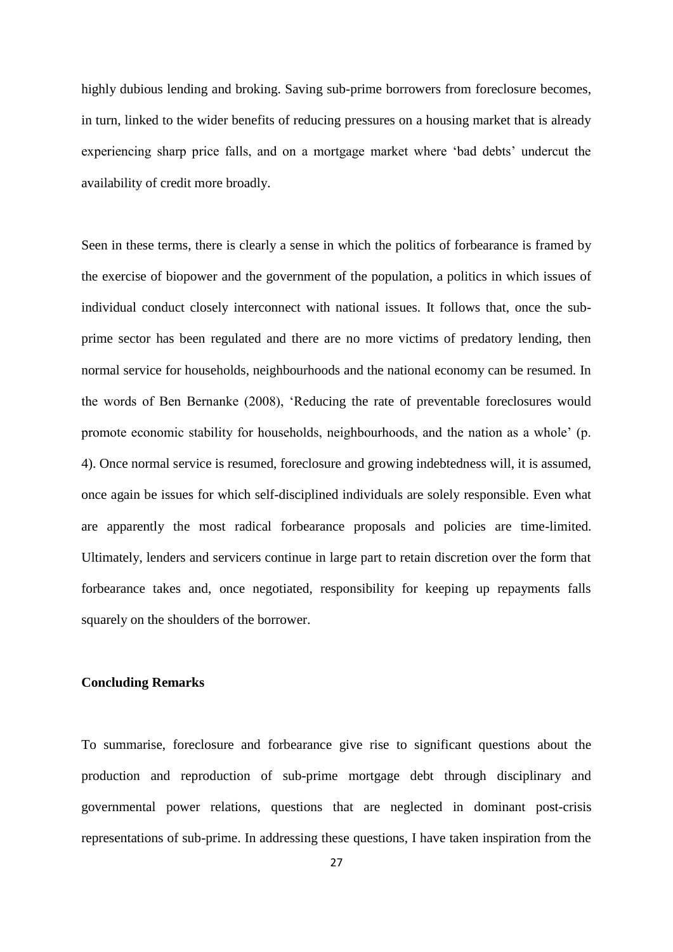highly dubious lending and broking. Saving sub-prime borrowers from foreclosure becomes, in turn, linked to the wider benefits of reducing pressures on a housing market that is already experiencing sharp price falls, and on a mortgage market where 'bad debts' undercut the availability of credit more broadly.

Seen in these terms, there is clearly a sense in which the politics of forbearance is framed by the exercise of biopower and the government of the population, a politics in which issues of individual conduct closely interconnect with national issues. It follows that, once the subprime sector has been regulated and there are no more victims of predatory lending, then normal service for households, neighbourhoods and the national economy can be resumed. In the words of Ben Bernanke (2008), 'Reducing the rate of preventable foreclosures would promote economic stability for households, neighbourhoods, and the nation as a whole' (p. 4). Once normal service is resumed, foreclosure and growing indebtedness will, it is assumed, once again be issues for which self-disciplined individuals are solely responsible. Even what are apparently the most radical forbearance proposals and policies are time-limited. Ultimately, lenders and servicers continue in large part to retain discretion over the form that forbearance takes and, once negotiated, responsibility for keeping up repayments falls squarely on the shoulders of the borrower.

#### **Concluding Remarks**

To summarise, foreclosure and forbearance give rise to significant questions about the production and reproduction of sub-prime mortgage debt through disciplinary and governmental power relations, questions that are neglected in dominant post-crisis representations of sub-prime. In addressing these questions, I have taken inspiration from the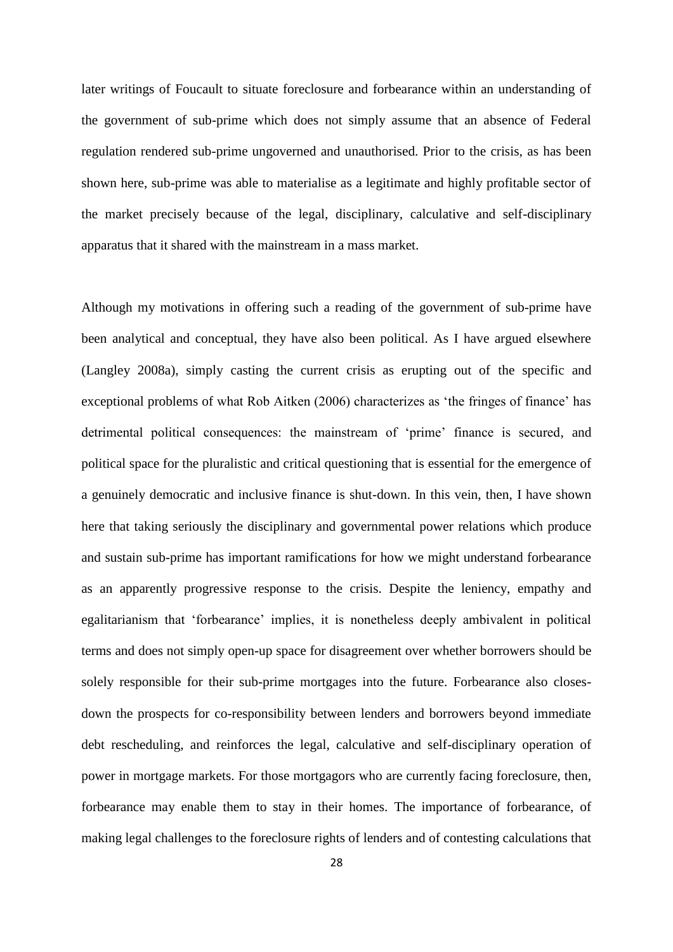later writings of Foucault to situate foreclosure and forbearance within an understanding of the government of sub-prime which does not simply assume that an absence of Federal regulation rendered sub-prime ungoverned and unauthorised. Prior to the crisis, as has been shown here, sub-prime was able to materialise as a legitimate and highly profitable sector of the market precisely because of the legal, disciplinary, calculative and self-disciplinary apparatus that it shared with the mainstream in a mass market.

Although my motivations in offering such a reading of the government of sub-prime have been analytical and conceptual, they have also been political. As I have argued elsewhere (Langley 2008a), simply casting the current crisis as erupting out of the specific and exceptional problems of what Rob Aitken (2006) characterizes as 'the fringes of finance' has detrimental political consequences: the mainstream of 'prime' finance is secured, and political space for the pluralistic and critical questioning that is essential for the emergence of a genuinely democratic and inclusive finance is shut-down. In this vein, then, I have shown here that taking seriously the disciplinary and governmental power relations which produce and sustain sub-prime has important ramifications for how we might understand forbearance as an apparently progressive response to the crisis. Despite the leniency, empathy and egalitarianism that 'forbearance' implies, it is nonetheless deeply ambivalent in political terms and does not simply open-up space for disagreement over whether borrowers should be solely responsible for their sub-prime mortgages into the future. Forbearance also closesdown the prospects for co-responsibility between lenders and borrowers beyond immediate debt rescheduling, and reinforces the legal, calculative and self-disciplinary operation of power in mortgage markets. For those mortgagors who are currently facing foreclosure, then, forbearance may enable them to stay in their homes. The importance of forbearance, of making legal challenges to the foreclosure rights of lenders and of contesting calculations that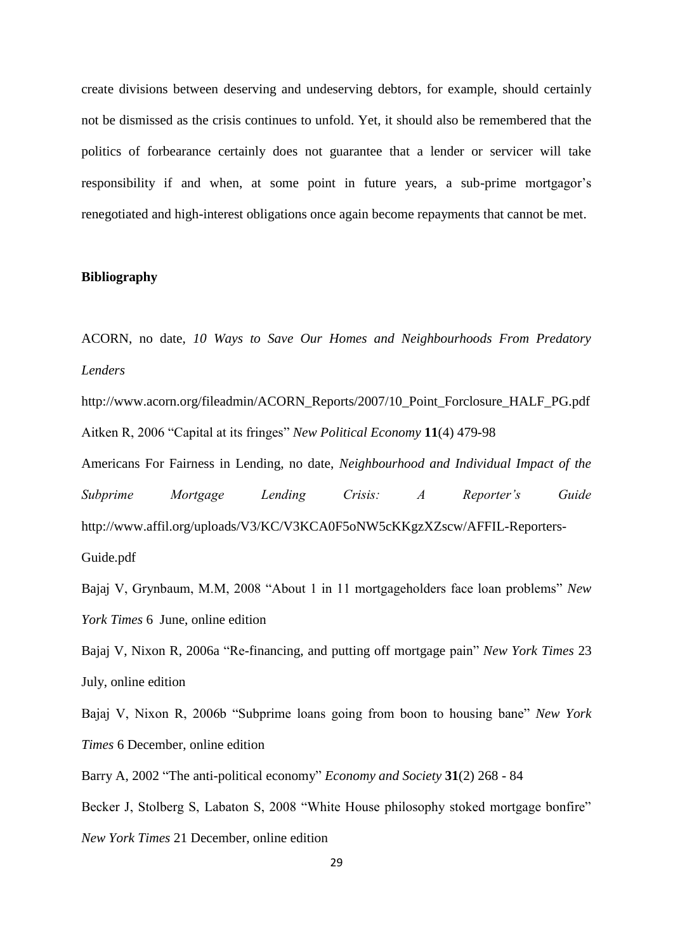create divisions between deserving and undeserving debtors, for example, should certainly not be dismissed as the crisis continues to unfold. Yet, it should also be remembered that the politics of forbearance certainly does not guarantee that a lender or servicer will take responsibility if and when, at some point in future years, a sub-prime mortgagor's renegotiated and high-interest obligations once again become repayments that cannot be met.

## **Bibliography**

ACORN, no date, *10 Ways to Save Our Homes and Neighbourhoods From Predatory Lenders*

http://www.acorn.org/fileadmin/ACORN\_Reports/2007/10\_Point\_Forclosure\_HALF\_PG.pdf Aitken R, 2006 "Capital at its fringes" *New Political Economy* **11**(4) 479-98

Americans For Fairness in Lending, no date, *Neighbourhood and Individual Impact of the Subprime Mortgage Lending Crisis: A Reporter's Guide* http://www.affil.org/uploads/V3/KC/V3KCA0F5oNW5cKKgzXZscw/AFFIL-Reporters-Guide.pdf

Bajaj V, Grynbaum, M.M, 2008 "About 1 in 11 mortgageholders face loan problems" *New York Times* 6 June, online edition

Bajaj V, Nixon R, 2006a "Re-financing, and putting off mortgage pain" *New York Times* 23 July, online edition

Bajaj V, Nixon R, 2006b "Subprime loans going from boon to housing bane" *New York Times* 6 December, online edition

Barry A, 2002 "The anti-political economy" *Economy and Society* **31**(2) 268 - 84

Becker J, Stolberg S, Labaton S, 2008 "White House philosophy stoked mortgage bonfire"

*New York Times* 21 December, online edition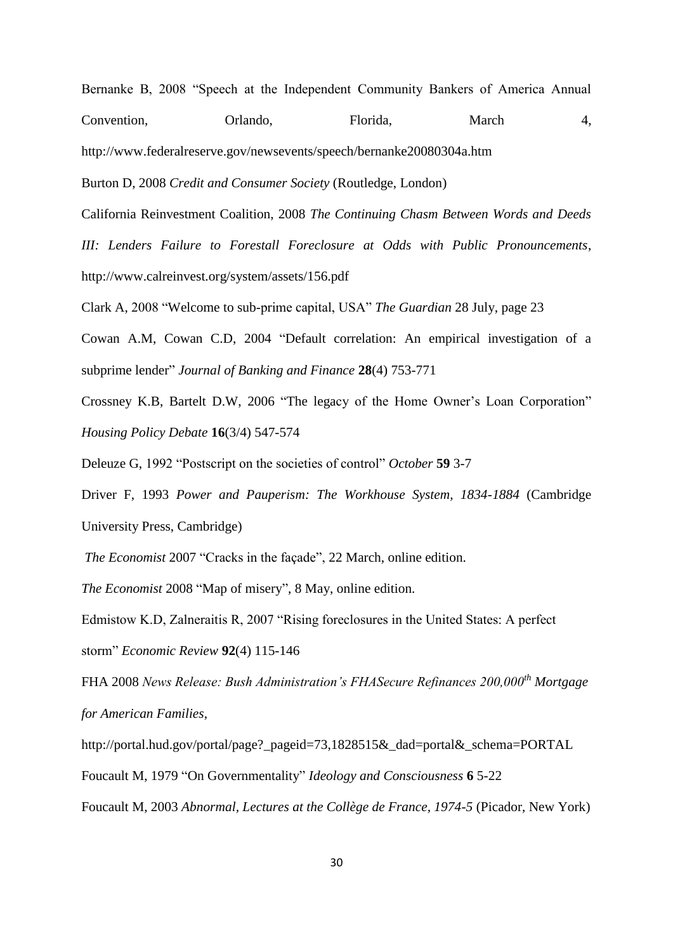Bernanke B, 2008 "Speech at the Independent Community Bankers of America Annual Convention, Orlando, Florida, March 4,

http://www.federalreserve.gov/newsevents/speech/bernanke20080304a.htm

Burton D, 2008 *Credit and Consumer Society* (Routledge, London)

California Reinvestment Coalition, 2008 *The Continuing Chasm Between Words and Deeds* 

*III: Lenders Failure to Forestall Foreclosure at Odds with Public Pronouncements*, http://www.calreinvest.org/system/assets/156.pdf

Clark A, 2008 "Welcome to sub-prime capital, USA" *The Guardian* 28 July, page 23

Cowan A.M, Cowan C.D, 2004 "Default correlation: An empirical investigation of a subprime lender" *Journal of Banking and Finance* **28**(4) 753-771

Crossney K.B, Bartelt D.W, 2006 "The legacy of the Home Owner's Loan Corporation" *Housing Policy Debate* **16**(3/4) 547-574

Deleuze G, 1992 "Postscript on the societies of control" *October* **59** 3-7

Driver F, 1993 *Power and Pauperism: The Workhouse System, 1834-1884* (Cambridge University Press, Cambridge)

*The Economist* 2007 "Cracks in the façade", 22 March, online edition.

*The Economist* 2008 "Map of misery", 8 May, online edition.

Edmistow K.D, Zalneraitis R, 2007 "Rising foreclosures in the United States: A perfect

storm" *Economic Review* **92**(4) 115-146

FHA 2008 *News Release: Bush Administration's FHASecure Refinances 200,000th Mortgage for American Families*,

http://portal.hud.gov/portal/page?\_pageid=73,1828515&\_dad=portal&\_schema=PORTAL

Foucault M, 1979 "On Governmentality" *Ideology and Consciousness* **6** 5-22

Foucault M, 2003 *Abnormal, Lectures at the Collège de France, 1974-5* (Picador, New York)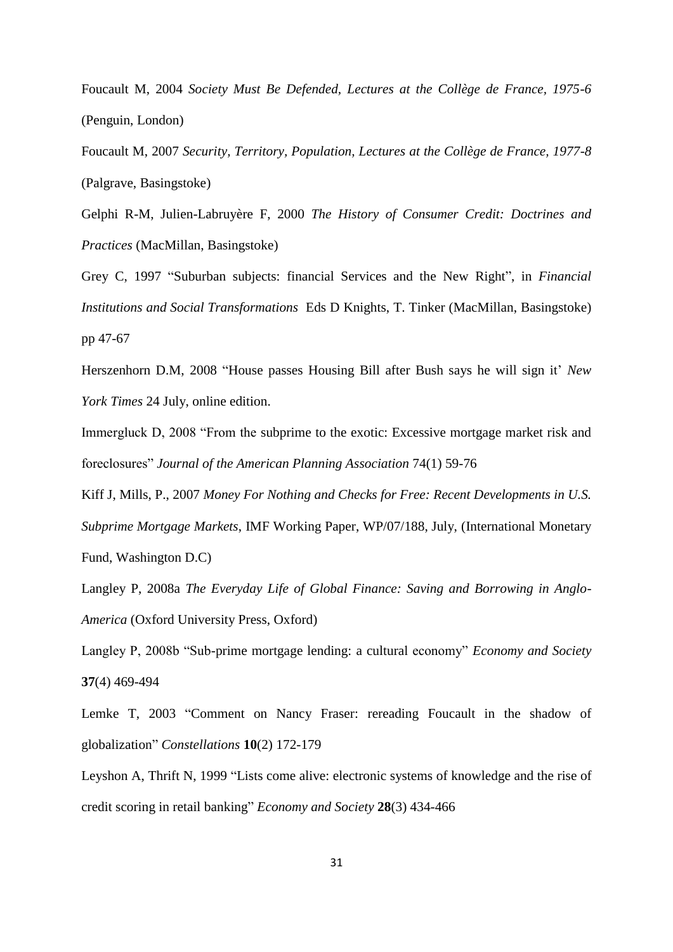Foucault M, 2004 *Society Must Be Defended, Lectures at the Collège de France, 1975-6* (Penguin, London)

Foucault M, 2007 *Security, Territory, Population, Lectures at the Collège de France, 1977-8* (Palgrave, Basingstoke)

Gelphi R-M, Julien-Labruyère F, 2000 *The History of Consumer Credit: Doctrines and Practices* (MacMillan, Basingstoke)

Grey C, 1997 "Suburban subjects: financial Services and the New Right", in *Financial Institutions and Social Transformations* Eds D Knights, T. Tinker (MacMillan, Basingstoke) pp 47-67

Herszenhorn D.M, 2008 "House passes Housing Bill after Bush says he will sign it' *New York Times* 24 July, online edition.

Immergluck D, 2008 "From the subprime to the exotic: Excessive mortgage market risk and foreclosures" *Journal of the American Planning Association* 74(1) 59-76

Kiff J, Mills, P., 2007 *Money For Nothing and Checks for Free: Recent Developments in U.S. Subprime Mortgage Markets*, IMF Working Paper, WP/07/188, July, (International Monetary Fund, Washington D.C)

Langley P, 2008a *The Everyday Life of Global Finance: Saving and Borrowing in Anglo-America* (Oxford University Press, Oxford)

Langley P, 2008b "Sub-prime mortgage lending: a cultural economy" *Economy and Society* **37**(4) 469-494

Lemke T, 2003 "Comment on Nancy Fraser: rereading Foucault in the shadow of globalization" *Constellations* **10**(2) 172-179

Leyshon A, Thrift N, 1999 "Lists come alive: electronic systems of knowledge and the rise of credit scoring in retail banking" *Economy and Society* **28**(3) 434-466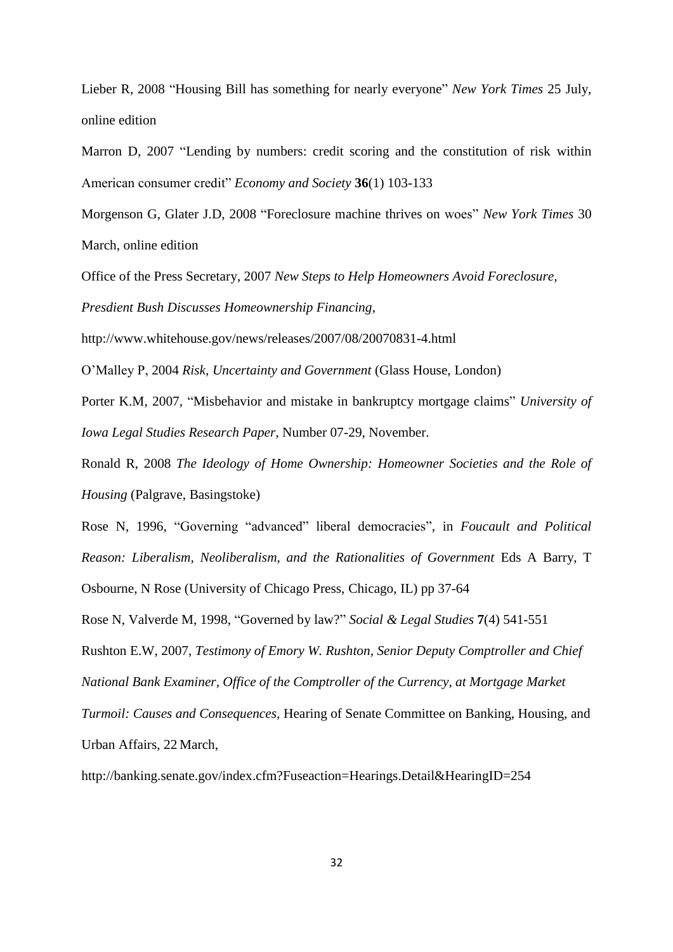Lieber R, 2008 "Housing Bill has something for nearly everyone" *New York Times* 25 July, online edition

Marron D, 2007 "Lending by numbers: credit scoring and the constitution of risk within American consumer credit" *Economy and Society* **36**(1) 103-133

Morgenson G, Glater J.D, 2008 "Foreclosure machine thrives on woes" *New York Times* 30 March, online edition

Office of the Press Secretary, 2007 *New Steps to Help Homeowners Avoid Foreclosure,* 

*Presdient Bush Discusses Homeownership Financing*,

http://www.whitehouse.gov/news/releases/2007/08/20070831-4.html

O'Malley P, 2004 *Risk, Uncertainty and Government* (Glass House, London)

Porter K.M, 2007, "Misbehavior and mistake in bankruptcy mortgage claims" *University of Iowa Legal Studies Research Paper*, Number 07-29, November.

Ronald R, 2008 *The Ideology of Home Ownership: Homeowner Societies and the Role of Housing* (Palgrave, Basingstoke)

Rose N, 1996, "Governing "advanced" liberal democracies", in *Foucault and Political Reason: Liberalism, Neoliberalism, and the Rationalities of Government* Eds A Barry, T

Osbourne, N Rose (University of Chicago Press, Chicago, IL) pp 37-64

Rose N, Valverde M, 1998, "Governed by law?" *Social & Legal Studies* **7**(4) 541-551

Rushton E.W, 2007, *Testimony of Emory W. Rushton, Senior Deputy Comptroller and Chief National Bank Examiner, Office of the Comptroller of the Currency, at Mortgage Market* 

*Turmoil: Causes and Consequences,* Hearing of Senate Committee on Banking, Housing, and

Urban Affairs, 22 March,

http://banking.senate.gov/index.cfm?Fuseaction=Hearings.Detail&HearingID=254